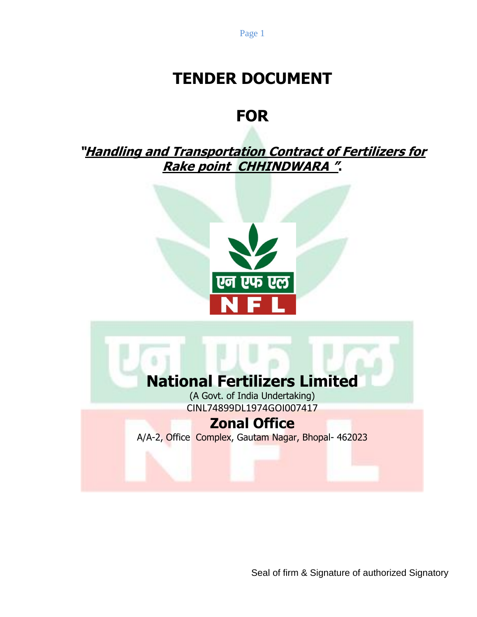# **TENDER DOCUMENT**

# **FOR**

**"Handling and Transportation Contract of Fertilizers for Rake point CHHINDWARA ".**



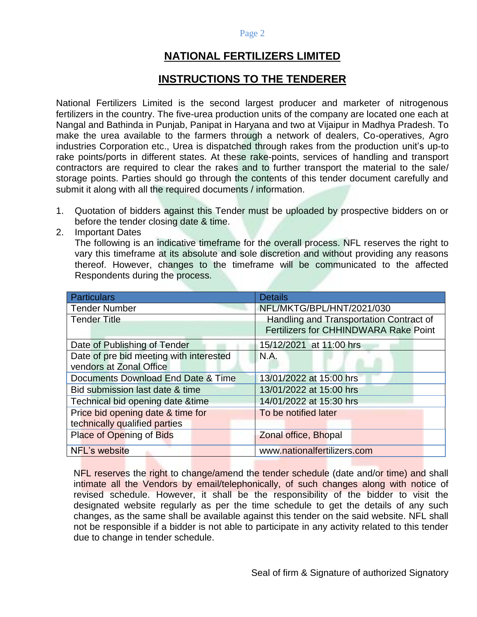# **NATIONAL FERTILIZERS LIMITED**

# **INSTRUCTIONS TO THE TENDERER**

National Fertilizers Limited is the second largest producer and marketer of nitrogenous fertilizers in the country. The five-urea production units of the company are located one each at Nangal and Bathinda in Punjab, Panipat in Haryana and two at Vijaipur in Madhya Pradesh. To make the urea available to the farmers through a network of dealers, Co-operatives, Agro industries Corporation etc., Urea is dispatched through rakes from the production unit's up-to rake points/ports in different states. At these rake-points, services of handling and transport contractors are required to clear the rakes and to further transport the material to the sale/ storage points. Parties should go through the contents of this tender document carefully and submit it along with all the required documents / information.

- 1. Quotation of bidders against this Tender must be uploaded by prospective bidders on or before the tender closing date & time.
- 2. Important Dates

The following is an indicative timeframe for the overall process. NFL reserves the right to vary this timeframe at its absolute and sole discretion and without providing any reasons thereof. However, changes to the timeframe will be communicated to the affected Respondents during the process.

| <b>Particulars</b>                      | <b>Details</b>                          |
|-----------------------------------------|-----------------------------------------|
| <b>Tender Number</b>                    | NFL/MKTG/BPL/HNT/2021/030               |
| <b>Tender Title</b>                     | Handling and Transportation Contract of |
|                                         | Fertilizers for CHHINDWARA Rake Point   |
| Date of Publishing of Tender            | 15/12/2021 at 11:00 hrs                 |
| Date of pre bid meeting with interested | N.A.                                    |
| vendors at Zonal Office                 |                                         |
| Documents Download End Date & Time      | 13/01/2022 at 15:00 hrs                 |
| Bid submission last date & time         | 13/01/2022 at 15:00 hrs                 |
| Technical bid opening date & time       | 14/01/2022 at 15:30 hrs                 |
| Price bid opening date & time for       | To be notified later                    |
| technically qualified parties           |                                         |
| Place of Opening of Bids                | Zonal office, Bhopal                    |
| NFL's website                           | www.nationalfertilizers.com             |

NFL reserves the right to change/amend the tender schedule (date and/or time) and shall intimate all the Vendors by email/telephonically, of such changes along with notice of revised schedule. However, it shall be the responsibility of the bidder to visit the designated website regularly as per the time schedule to get the details of any such changes, as the same shall be available against this tender on the said website. NFL shall not be responsible if a bidder is not able to participate in any activity related to this tender due to change in tender schedule.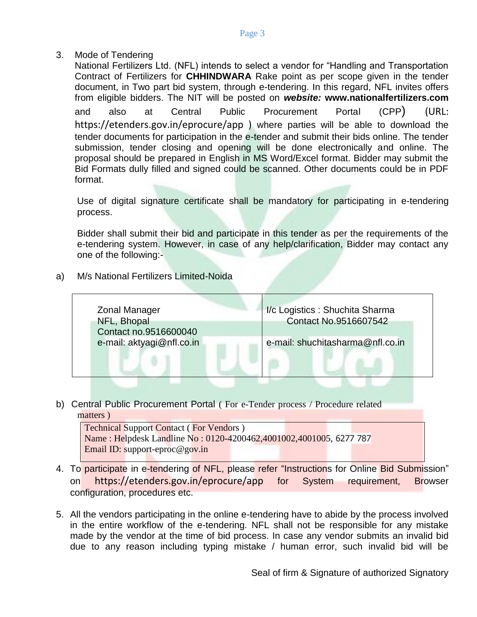3. Mode of Tendering

National Fertilizers Ltd. (NFL) intends to select a vendor for "Handling and Transportation Contract of Fertilizers for **CHHINDWARA** Rake point as per scope given in the tender document, in Two part bid system, through e-tendering. In this regard, NFL invites offers from eligible bidders. The NIT will be posted on *website:* **[www.nationalfertilizers.com](http://www.nationalfertilizers.com/)**  and also at Central Public Procurement Portal (CPP) (URL: https://etenders.gov.in/eprocure/app ) where parties will be able to download the tender documents for participation in the e-tender and submit their bids online. The tender submission, tender closing and opening will be done electronically and online. The proposal should be prepared in English in MS Word/Excel format. Bidder may submit the Bid Formats dully filled and signed could be scanned. Other documents could be in PDF format.

Use of digital signature certificate shall be mandatory for participating in e-tendering process.

Bidder shall submit their bid and participate in this tender as per the requirements of the e-tendering system. However, in case of any help/clarification, Bidder may contact any one of the following:-

a) M/s National Fertilizers Limited-Noida

| Zonal Manager<br>NFL, Bhopal<br>Contact no.9516600040 | I/c Logistics : Shuchita Sharma<br>Contact No.9516607542 |
|-------------------------------------------------------|----------------------------------------------------------|
| e-mail: aktyagi@nfl.co.in                             | e-mail: shuchitasharma@nfl.co.in                         |

b) Central Public Procurement Portal ( For e-Tender process / Procedure related matters )

Technical Support Contact (For Vendors) Name : Helpdesk Landline No : 0120-4200462,4001002,4001005, 6277 787 Email ID: support-eproc@gov.in

- 4. To participate in e-tendering of NFL, please refer "Instructions for Online Bid Submission" on https://etenders.gov.in/eprocure/app for System requirement, Browser configuration, procedures etc.
- 5. All the vendors participating in the online e-tendering have to abide by the process involved in the entire workflow of the e-tendering. NFL shall not be responsible for any mistake made by the vendor at the time of bid process. In case any vendor submits an invalid bid due to any reason including typing mistake / human error, such invalid bid will be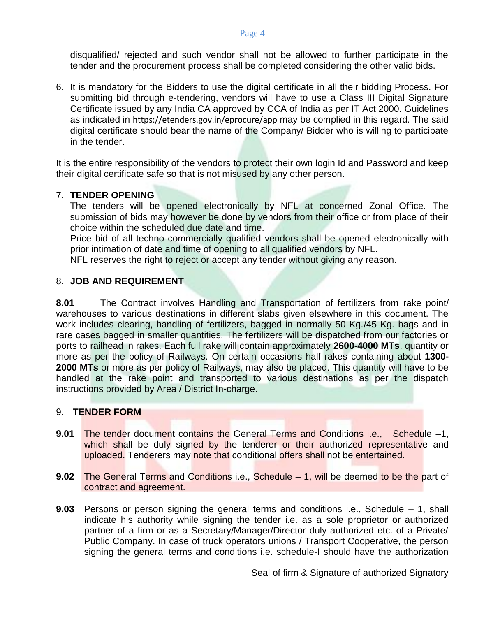disqualified/ rejected and such vendor shall not be allowed to further participate in the tender and the procurement process shall be completed considering the other valid bids.

6. It is mandatory for the Bidders to use the digital certificate in all their bidding Process. For submitting bid through e-tendering, vendors will have to use a Class III Digital Signature Certificate issued by any India CA approved by CCA of India as per IT Act 2000. Guidelines as indicated in https://etenders.gov.in/eprocure/app may be complied in this regard. The said digital certificate should bear the name of the Company/ Bidder who is willing to participate in the tender.

It is the entire responsibility of the vendors to protect their own login Id and Password and keep their digital certificate safe so that is not misused by any other person.

# 7. **TENDER OPENING**

The tenders will be opened electronically by NFL at concerned Zonal Office. The submission of bids may however be done by vendors from their office or from place of their choice within the scheduled due date and time.

Price bid of all techno commercially qualified vendors shall be opened electronically with prior intimation of date and time of opening to all qualified vendors by NFL.

NFL reserves the right to reject or accept any tender without giving any reason.

# 8. **JOB AND REQUIREMENT**

**8.01** The Contract involves Handling and Transportation of fertilizers from rake point/ warehouses to various destinations in different slabs given elsewhere in this document. The work includes clearing, handling of fertilizers, bagged in normally 50 Kg./45 Kg. bags and in rare cases bagged in smaller quantities. The fertilizers will be dispatched from our factories or ports to railhead in rakes. Each full rake will contain approximately **2600-4000 MTs**. quantity or more as per the policy of Railways. On certain occasions half rakes containing about **1300- 2000 MTs** or more as per policy of Railways, may also be placed. This quantity will have to be handled at the rake point and transported to various destinations as per the dispatch instructions provided by Area / District In-charge.

# 9. **TENDER FORM**

- 9.01 The tender document contains the General Terms and Conditions i.e., Schedule -1, which shall be duly signed by the tenderer or their authorized representative and uploaded. Tenderers may note that conditional offers shall not be entertained.
- **9.02** The General Terms and Conditions i.e., Schedule 1, will be deemed to be the part of contract and agreement.
- **9.03** Persons or person signing the general terms and conditions i.e., Schedule 1, shall indicate his authority while signing the tender i.e. as a sole proprietor or authorized partner of a firm or as a Secretary/Manager/Director duly authorized etc. of a Private/ Public Company. In case of truck operators unions / Transport Cooperative, the person signing the general terms and conditions i.e. schedule-I should have the authorization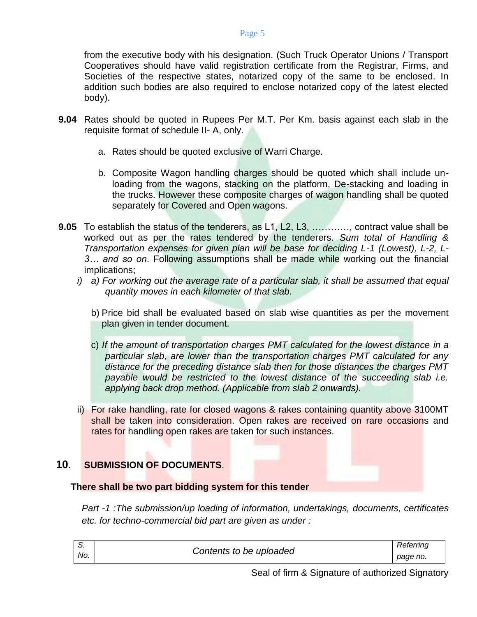from the executive body with his designation. (Such Truck Operator Unions / Transport Cooperatives should have valid registration certificate from the Registrar, Firms, and Societies of the respective states, notarized copy of the same to be enclosed. In addition such bodies are also required to enclose notarized copy of the latest elected body).

- **9.04** Rates should be quoted in Rupees Per M.T. Per Km. basis against each slab in the requisite format of schedule II- A, only.
	- a. Rates should be quoted exclusive of Warri Charge.
	- b. Composite Wagon handling charges should be quoted which shall include unloading from the wagons, stacking on the platform, De-stacking and loading in the trucks. However these composite charges of wagon handling shall be quoted separately for Covered and Open wagons.
- **9.05** To establish the status of the tenderers, as L1, L2, L3, …………, contract value shall be worked out as per the rates tendered by the tenderers. *Sum total of Handling & Transportation expenses for given plan will be base for deciding L-1 (Lowest), L-2, L-3… and so on*. Following assumptions shall be made while working out the financial implications;
	- *i) a) For working out the average rate of a particular slab, it shall be assumed that equal quantity moves in each kilometer of that slab.*
		- b) Price bid shall be evaluated based on slab wise quantities as per the movement plan given in tender document.
		- c) *If the amount of transportation charges PMT calculated for the lowest distance in a particular slab, are lower than the transportation charges PMT calculated for any distance for the preceding distance slab then for those distances the charges PMT*  payable would be restricted to the lowest distance of the succeeding slab *i.e. applying back drop method. (Applicable from slab 2 onwards).*
	- ii) For rake handling, rate for closed wagons & rakes containing quantity above 3100MT shall be taken into consideration. Open rakes are received on rare occasions and rates for handling open rakes are taken for such instances.

# **10**. **SUBMISSION OF DOCUMENTS**.

# **There shall be two part bidding system for this tender**

*Part -1 :The submission/up loading of information, undertakings, documents, certificates etc. for techno-commercial bid part are given as under :*

| ပ.  | Contents to be uploaded | Referring |
|-----|-------------------------|-----------|
| No. |                         | page no.  |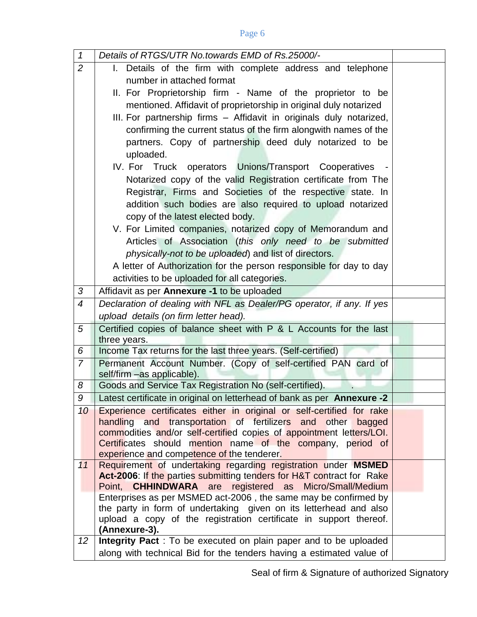| $\mathbf{1}$     | Details of RTGS/UTR No.towards EMD of Rs.25000/-                                                         |  |
|------------------|----------------------------------------------------------------------------------------------------------|--|
| $\overline{2}$   | I. Details of the firm with complete address and telephone                                               |  |
|                  | number in attached format                                                                                |  |
|                  | II. For Proprietorship firm - Name of the proprietor to be                                               |  |
|                  | mentioned. Affidavit of proprietorship in original duly notarized                                        |  |
|                  | III. For partnership firms - Affidavit in originals duly notarized,                                      |  |
|                  | confirming the current status of the firm alongwith names of the                                         |  |
|                  | partners. Copy of partnership deed duly notarized to be                                                  |  |
|                  | uploaded.                                                                                                |  |
|                  | IV. For Truck operators Unions/Transport Cooperatives                                                    |  |
|                  | Notarized copy of the valid Registration certificate from The                                            |  |
|                  | Registrar, Firms and Societies of the respective state. In                                               |  |
|                  | addition such bodies are also required to upload notarized                                               |  |
|                  | copy of the latest elected body.                                                                         |  |
|                  | V. For Limited companies, notarized copy of Memorandum and                                               |  |
|                  | Articles of Association (this only need to be submitted                                                  |  |
|                  | physically-not to be uploaded) and list of directors.                                                    |  |
|                  | A letter of Authorization for the person responsible for day to day                                      |  |
|                  | activities to be uploaded for all categories.                                                            |  |
| 3                | Affidavit as per Annexure -1 to be uploaded                                                              |  |
| $\boldsymbol{4}$ | Declaration of dealing with NFL as Dealer/PG operator, if any. If yes                                    |  |
|                  | upload details (on firm letter head).                                                                    |  |
| 5                | Certified copies of balance sheet with P & L Accounts for the last                                       |  |
|                  | three years.                                                                                             |  |
| 6                | Income Tax returns for the last three years. (Self-certified)                                            |  |
| $\overline{7}$   | Permanent Account Number. (Copy of self-certified PAN card of                                            |  |
|                  | self/firm - as applicable).                                                                              |  |
| 8                | Goods and Service Tax Registration No (self-certified).                                                  |  |
| 9                | Latest certificate in original on letterhead of bank as per Annexure -2                                  |  |
| 10               | Experience certificates either in original or self-certified for rake                                    |  |
|                  | handling and transportation of fertilizers and other<br>bagged                                           |  |
|                  | commodities and/or self-certified copies of appointment letters/LOI.                                     |  |
|                  | Certificates should mention name of the company, period of<br>experience and competence of the tenderer. |  |
| 11               | Requirement of undertaking regarding registration under MSMED                                            |  |
|                  | Act-2006: If the parties submitting tenders for H&T contract for Rake                                    |  |
|                  | Point, <b>CHHINDWARA</b> are<br>registered as Micro/Small/Medium                                         |  |
|                  | Enterprises as per MSMED act-2006, the same may be confirmed by                                          |  |
|                  | the party in form of undertaking given on its letterhead and also                                        |  |
|                  | upload a copy of the registration certificate in support thereof.                                        |  |
|                  | (Annexure-3).                                                                                            |  |
| 12               | Integrity Pact: To be executed on plain paper and to be uploaded                                         |  |
|                  | along with technical Bid for the tenders having a estimated value of                                     |  |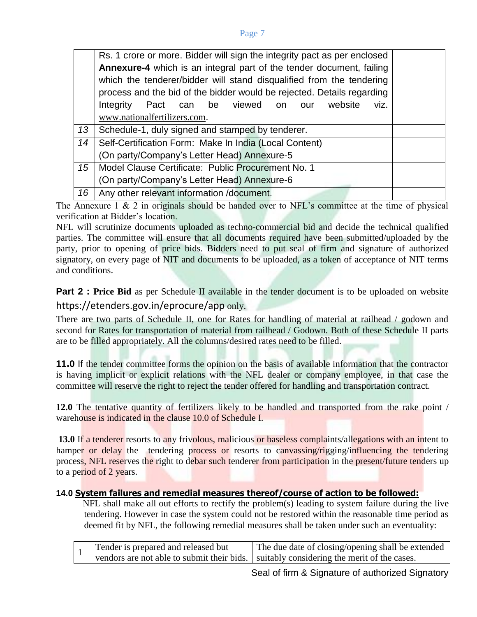| ŋ,<br>۰, |  |
|----------|--|

|    | Rs. 1 crore or more. Bidder will sign the integrity pact as per enclosed |  |
|----|--------------------------------------------------------------------------|--|
|    | Annexure-4 which is an integral part of the tender document, failing     |  |
|    | which the tenderer/bidder will stand disqualified from the tendering     |  |
|    | process and the bid of the bidder would be rejected. Details regarding   |  |
|    | can be viewed<br>website<br>Integrity<br>Pact<br>on<br>viz.<br>our       |  |
|    | www.nationalfertilizers.com.                                             |  |
| 13 | Schedule-1, duly signed and stamped by tenderer.                         |  |
| 14 | Self-Certification Form: Make In India (Local Content)                   |  |
|    | (On party/Company's Letter Head) Annexure-5                              |  |
| 15 | Model Clause Certificate: Public Procurement No. 1                       |  |
|    | (On party/Company's Letter Head) Annexure-6                              |  |
| 16 | Any other relevant information /document.                                |  |

The Annexure 1  $\&$  2 in originals should be handed over to NFL's committee at the time of physical verification at Bidder's location.

NFL will scrutinize documents uploaded as techno-commercial bid and decide the technical qualified parties. The committee will ensure that all documents required have been submitted/uploaded by the party, prior to opening of price bids. Bidders need to put seal of firm and signature of authorized signatory, on every page of NIT and documents to be uploaded, as a token of acceptance of NIT terms and conditions.

**Part 2 : Price Bid** as per Schedule II available in the tender document is to be uploaded on website https://etenders.gov.in/eprocure/app only.

There are two parts of Schedule II, one for Rates for handling of material at railhead / godown and second for Rates for transportation of material from railhead / Godown. Both of these Schedule II parts are to be filled appropriately. All the columns/desired rates need to be filled.

**11.0** If the tender committee forms the opinion on the basis of available information that the contractor is having implicit or explicit relations with the NFL dealer or company employee, in that case the committee will reserve the right to reject the tender offered for handling and transportation contract.

**12.0** The tentative quantity of fertilizers likely to be handled and transported from the rake point / warehouse is indicated in the clause 10.0 of Schedule I.

**13.0** If a tenderer resorts to any frivolous, malicious or baseless complaints/allegations with an intent to hamper or delay the tendering process or resorts to canvassing/rigging/influencing the tendering process, NFL reserves the right to debar such tenderer from participation in the present/future tenders up to a period of 2 years.

# **14.0 System failures and remedial measures thereof/course of action to be followed:**

 NFL shall make all out efforts to rectify the problem(s) leading to system failure during the live tendering. However in case the system could not be restored within the reasonable time period as deemed fit by NFL, the following remedial measures shall be taken under such an eventuality:

| Tender is prepared and released but | The due date of closing/opening shall be extended                                         |
|-------------------------------------|-------------------------------------------------------------------------------------------|
|                                     | vendors are not able to submit their bids.   suitably considering the merit of the cases. |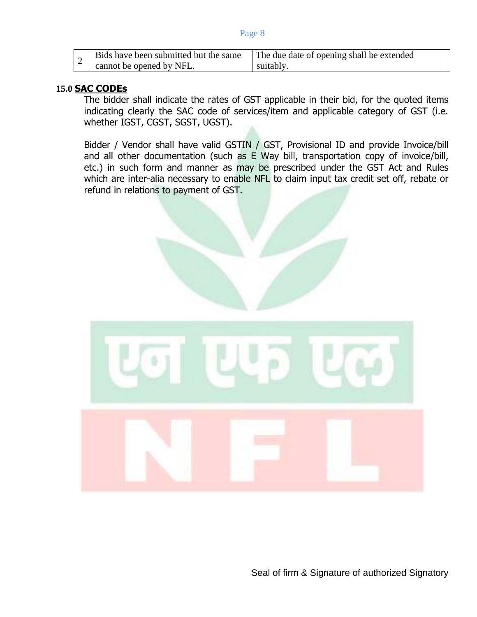| ŋ, | т.<br>M | ٠. |
|----|---------|----|

| Bids have been submitted but the same | The due date of opening shall be extended |
|---------------------------------------|-------------------------------------------|
| cannot be opened by NFL.              | suitably                                  |

# **15.0 SAC CODEs**

The bidder shall indicate the rates of GST applicable in their bid, for the quoted items indicating clearly the SAC code of services/item and applicable category of GST (i.e. whether IGST, CGST, SGST, UGST).

Bidder / Vendor shall have valid GSTIN / GST, Provisional ID and provide Invoice/bill and all other documentation (such as E Way bill, transportation copy of invoice/bill, etc.) in such form and manner as may be prescribed under the GST Act and Rules which are inter-alia necessary to enable NFL to claim input tax credit set off, rebate or refund in relations to payment of GST.

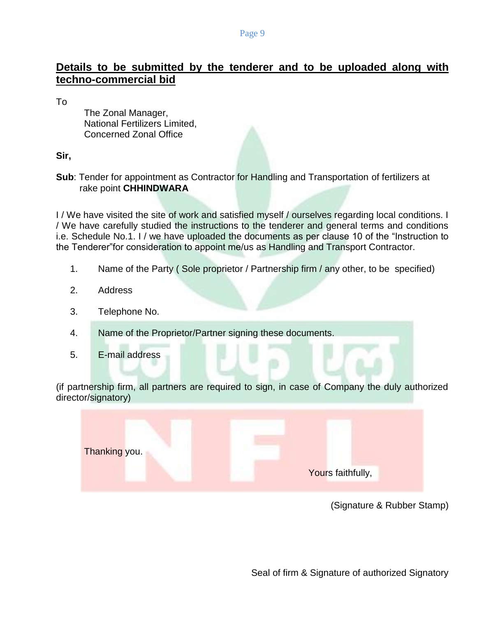# **Details to be submitted by the tenderer and to be uploaded along with techno-commercial bid**

To

The Zonal Manager, National Fertilizers Limited, Concerned Zonal Office

**Sir,**

**Sub**: Tender for appointment as Contractor for Handling and Transportation of fertilizers at rake point **CHHINDWARA** 

I / We have visited the site of work and satisfied myself / ourselves regarding local conditions. I / We have carefully studied the instructions to the tenderer and general terms and conditions i.e. Schedule No.1. I / we have uploaded the documents as per clause 10 of the "Instruction to the Tenderer"for consideration to appoint me/us as Handling and Transport Contractor.

- 1. Name of the Party ( Sole proprietor / Partnership firm / any other, to be specified)
- 2. Address
- 3. Telephone No.
- 4. Name of the Proprietor/Partner signing these documents.
- 5. E-mail address

(if partnership firm, all partners are required to sign, in case of Company the duly authorized director/signatory)



(Signature & Rubber Stamp)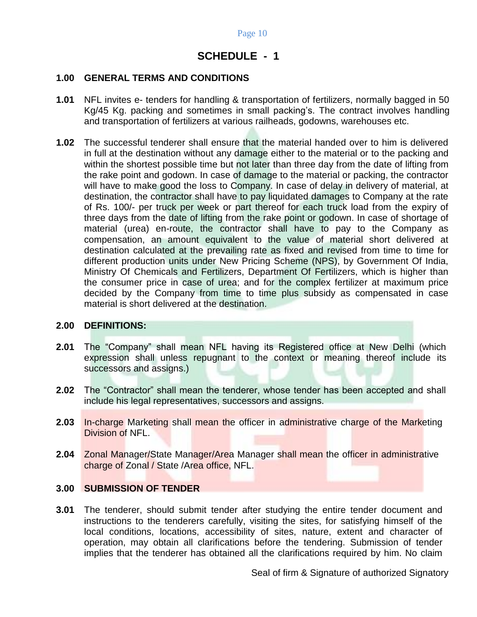# **SCHEDULE - 1**

# **1.00 GENERAL TERMS AND CONDITIONS**

- **1.01** NFL invites e- tenders for handling & transportation of fertilizers, normally bagged in 50 Kg/45 Kg. packing and sometimes in small packing's. The contract involves handling and transportation of fertilizers at various railheads, godowns, warehouses etc.
- **1.02** The successful tenderer shall ensure that the material handed over to him is delivered in full at the destination without any damage either to the material or to the packing and within the shortest possible time but not later than three day from the date of lifting from the rake point and godown. In case of damage to the material or packing, the contractor will have to make good the loss to Company. In case of delay in delivery of material, at destination, the contractor shall have to pay liquidated damages to Company at the rate of Rs. 100/- per truck per week or part thereof for each truck load from the expiry of three days from the date of lifting from the rake point or godown. In case of shortage of material (urea) en-route, the contractor shall have to pay to the Company as compensation, an amount equivalent to the value of material short delivered at destination calculated at the prevailing rate as fixed and revised from time to time for different production units under New Pricing Scheme (NPS), by Government Of India, Ministry Of Chemicals and Fertilizers, Department Of Fertilizers, which is higher than the consumer price in case of urea; and for the complex fertilizer at maximum price decided by the Company from time to time plus subsidy as compensated in case material is short delivered at the destination.

#### **2.00 DEFINITIONS:**

- **2.01** The "Company" shall mean NFL having its Registered office at New Delhi (which expression shall unless repugnant to the context or meaning thereof include its successors and assigns.)
- **2.02** The "Contractor" shall mean the tenderer, whose tender has been accepted and shall include his legal representatives, successors and assigns.
- **2.03** In-charge Marketing shall mean the officer in administrative charge of the Marketing Division of NFL.
- **2.04** Zonal Manager/State Manager/Area Manager shall mean the officer in administrative charge of Zonal / State / Area office, NFL.

# **3.00 SUBMISSION OF TENDER**

**3.01** The tenderer, should submit tender after studying the entire tender document and instructions to the tenderers carefully, visiting the sites, for satisfying himself of the local conditions, locations, accessibility of sites, nature, extent and character of operation, may obtain all clarifications before the tendering. Submission of tender implies that the tenderer has obtained all the clarifications required by him. No claim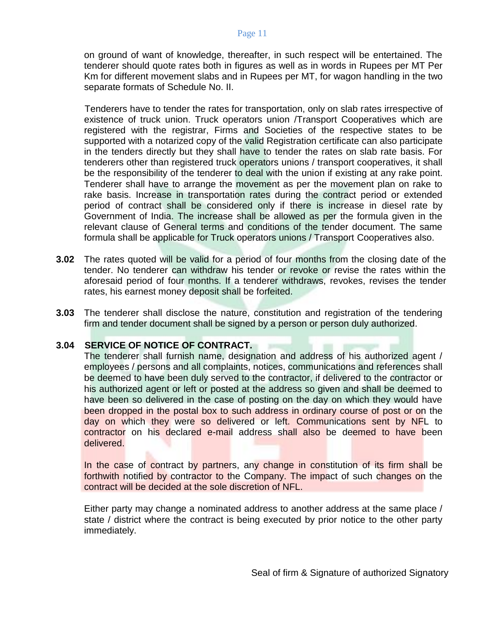on ground of want of knowledge, thereafter, in such respect will be entertained. The tenderer should quote rates both in figures as well as in words in Rupees per MT Per Km for different movement slabs and in Rupees per MT, for wagon handling in the two separate formats of Schedule No. II.

 Tenderers have to tender the rates for transportation, only on slab rates irrespective of existence of truck union. Truck operators union /Transport Cooperatives which are registered with the registrar, Firms and Societies of the respective states to be supported with a notarized copy of the valid Registration certificate can also participate in the tenders directly but they shall have to tender the rates on slab rate basis. For tenderers other than registered truck operators unions / transport cooperatives, it shall be the responsibility of the tenderer to deal with the union if existing at any rake point. Tenderer shall have to arrange the movement as per the movement plan on rake to rake basis. Increase in transportation rates during the contract period or extended period of contract shall be considered only if there is increase in diesel rate by Government of India. The increase shall be allowed as per the formula given in the relevant clause of General terms and conditions of the tender document. The same formula shall be applicable for Truck operators unions / Transport Cooperatives also.

- **3.02** The rates quoted will be valid for a period of four months from the closing date of the tender. No tenderer can withdraw his tender or revoke or revise the rates within the aforesaid period of four months. If a tenderer withdraws, revokes, revises the tender rates, his earnest money deposit shall be forfeited.
- **3.03** The tenderer shall disclose the nature, constitution and registration of the tendering firm and tender document shall be signed by a person or person duly authorized.

# **3.04 SERVICE OF NOTICE OF CONTRACT.**

The tenderer shall furnish name, designation and address of his authorized agent / employees / persons and all complaints, notices, communications and references shall be deemed to have been duly served to the contractor, if delivered to the contractor or his authorized agent or left or posted at the address so given and shall be deemed to have been so delivered in the case of posting on the day on which they would have been dropped in the postal box to such address in ordinary course of post or on the day on which they were so delivered or left. Communications sent by NFL to contractor on his declared e-mail address shall also be deemed to have been delivered.

In the case of contract by partners, any change in constitution of its firm shall be forthwith notified by contractor to the Company. The impact of such changes on the contract will be decided at the sole discretion of NFL.

Either party may change a nominated address to another address at the same place / state / district where the contract is being executed by prior notice to the other party immediately.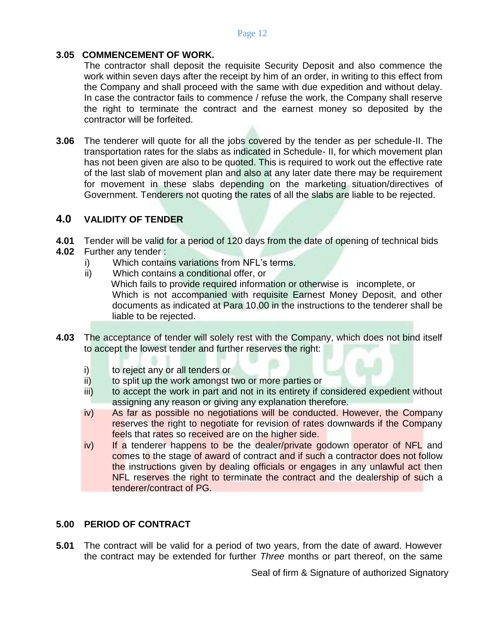# **3.05 COMMENCEMENT OF WORK.**

The contractor shall deposit the requisite Security Deposit and also commence the work within seven days after the receipt by him of an order, in writing to this effect from the Company and shall proceed with the same with due expedition and without delay. In case the contractor fails to commence / refuse the work, the Company shall reserve the right to terminate the contract and the earnest money so deposited by the contractor will be forfeited.

**3.06** The tenderer will quote for all the jobs covered by the tender as per schedule-II. The transportation rates for the slabs as indicated in Schedule- II, for which movement plan has not been given are also to be quoted. This is required to work out the effective rate of the last slab of movement plan and also at any later date there may be requirement for movement in these slabs depending on the marketing situation/directives of Government. Tenderers not quoting the rates of all the slabs are liable to be rejected.

# **4.0 VALIDITY OF TENDER**

- **4.01** Tender will be valid for a period of 120 days from the date of opening of technical bids
- **4.02** Further any tender :
	- i) Which contains variations from NFL's terms.
	- ii) Which contains a conditional offer, or Which fails to provide required information or otherwise is incomplete, or Which is not accompanied with requisite Earnest Money Deposit, and other documents as indicated at Para 10.00 in the instructions to the tenderer shall be liable to be rejected.
- **4.03** The acceptance of tender will solely rest with the Company, which does not bind itself to accept the lowest tender and further reserves the right:
	- i) to reject any or all tenders or
	- ii) to split up the work amongst two or more parties or
	- iii) to accept the work in part and not in its entirety if considered expedient without assigning any reason or giving any explanation therefore.
	- iv) As far as possible no negotiations will be conducted. However, the Company reserves the right to negotiate for revision of rates downwards if the Company feels that rates so received are on the higher side.
	- iv) If a tenderer happens to be the dealer/private godown operator of NFL and comes to the stage of award of contract and if such a contractor does not follow the instructions given by dealing officials or engages in any unlawful act then NFL reserves the right to terminate the contract and the dealership of such a tenderer/contract of PG.

# **5.00 PERIOD OF CONTRACT**

**5.01** The contract will be valid for a period of two years, from the date of award. However the contract may be extended for further *Three* months or part thereof, on the same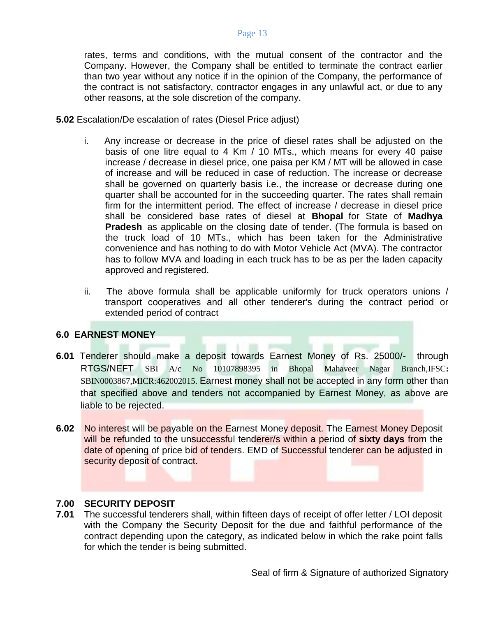rates, terms and conditions, with the mutual consent of the contractor and the Company. However, the Company shall be entitled to terminate the contract earlier than two year without any notice if in the opinion of the Company, the performance of the contract is not satisfactory, contractor engages in any unlawful act, or due to any other reasons, at the sole discretion of the company.

**5.02** Escalation/De escalation of rates (Diesel Price adjust)

- i. Any increase or decrease in the price of diesel rates shall be adjusted on the basis of one litre equal to 4 Km / 10 MTs., which means for every 40 paise increase / decrease in diesel price, one paisa per KM / MT will be allowed in case of increase and will be reduced in case of reduction. The increase or decrease shall be governed on quarterly basis i.e., the increase or decrease during one quarter shall be accounted for in the succeeding quarter. The rates shall remain firm for the intermittent period. The effect of increase / decrease in diesel price shall be considered base rates of diesel at **Bhopal** for State of **Madhya Pradesh** as applicable on the closing date of tender. (The formula is based on the truck load of 10 MTs., which has been taken for the Administrative convenience and has nothing to do with Motor Vehicle Act (MVA). The contractor has to follow MVA and loading in each truck has to be as per the laden capacity approved and registered.
- ii. The above formula shall be applicable uniformly for truck operators unions / transport cooperatives and all other tenderer's during the contract period or extended period of contract

# **6.0 EARNEST MONEY**

- **6.01** Tenderer should make a deposit towards Earnest Money of Rs. 25000/- through RTGS/NEFT SBI A/c No 10107898395 in Bhopal Mahaveer Nagar Branch,IFSC**:** SBIN0003867,MICR:462002015. Earnest money shall not be accepted in any form other than that specified above and tenders not accompanied by Earnest Money, as above are liable to be rejected.
- **6.02** No interest will be payable on the Earnest Money deposit. The Earnest Money Deposit will be refunded to the unsuccessful tenderer/s within a period of **sixty days** from the date of opening of price bid of tenders. EMD of Successful tenderer can be adjusted in security deposit of contract.

# **7.00 SECURITY DEPOSIT**

**7.01** The successful tenderers shall, within fifteen days of receipt of offer letter / LOI deposit with the Company the Security Deposit for the due and faithful performance of the contract depending upon the category, as indicated below in which the rake point falls for which the tender is being submitted.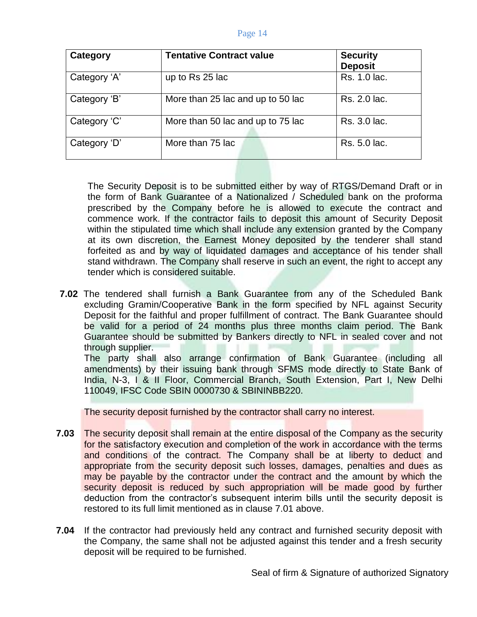| Category     | <b>Tentative Contract value</b>   | <b>Security</b><br><b>Deposit</b> |
|--------------|-----------------------------------|-----------------------------------|
| Category 'A' | up to Rs 25 lac                   | Rs. 1.0 lac.                      |
| Category 'B' | More than 25 lac and up to 50 lac | Rs. 2.0 lac.                      |
| Category 'C' | More than 50 lac and up to 75 lac | Rs. 3.0 lac.                      |
| Category 'D' | More than 75 lac                  | Rs. 5.0 lac.                      |

The Security Deposit is to be submitted either by way of RTGS/Demand Draft or in the form of Bank Guarantee of a Nationalized / Scheduled bank on the proforma prescribed by the Company before he is allowed to execute the contract and commence work. If the contractor fails to deposit this amount of Security Deposit within the stipulated time which shall include any extension granted by the Company at its own discretion, the Earnest Money deposited by the tenderer shall stand forfeited as and by way of liquidated damages and acceptance of his tender shall stand withdrawn. The Company shall reserve in such an event, the right to accept any tender which is considered suitable.

**7.02** The tendered shall furnish a Bank Guarantee from any of the Scheduled Bank excluding Gramin/Cooperative Bank in the form specified by NFL against Security Deposit for the faithful and proper fulfillment of contract. The Bank Guarantee should be valid for a period of 24 months plus three months claim period. The Bank Guarantee should be submitted by Bankers directly to NFL in sealed cover and not through supplier.

The party shall also arrange confirmation of Bank Guarantee (including all amendments) by their issuing bank through SFMS mode directly to State Bank of India, N-3, I & II Floor, Commercial Branch, South Extension, Part I, New Delhi 110049, IFSC Code SBIN 0000730 & SBININBB220.

The security deposit furnished by the contractor shall carry no interest.

- **7.03** The security deposit shall remain at the entire disposal of the Company as the security for the satisfactory execution and completion of the work in accordance with the terms and conditions of the contract. The Company shall be at liberty to deduct and appropriate from the security deposit such losses, damages, penalties and dues as may be payable by the contractor under the contract and the amount by which the security deposit is reduced by such appropriation will be made good by further deduction from the contractor's subsequent interim bills until the security deposit is restored to its full limit mentioned as in clause 7.01 above.
- **7.04** If the contractor had previously held any contract and furnished security deposit with the Company, the same shall not be adjusted against this tender and a fresh security deposit will be required to be furnished.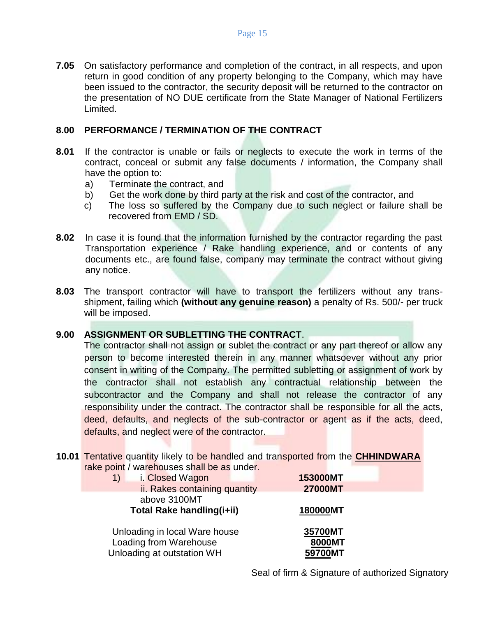**7.05** On satisfactory performance and completion of the contract, in all respects, and upon return in good condition of any property belonging to the Company, which may have been issued to the contractor, the security deposit will be returned to the contractor on the presentation of NO DUE certificate from the State Manager of National Fertilizers Limited.

### **8.00 PERFORMANCE / TERMINATION OF THE CONTRACT**

- **8.01** If the contractor is unable or fails or neglects to execute the work in terms of the contract, conceal or submit any false documents / information, the Company shall have the option to:
	- a) Terminate the contract, and
	- b) Get the work done by third party at the risk and cost of the contractor, and
	- c) The loss so suffered by the Company due to such neglect or failure shall be recovered from EMD / SD.
- **8.02** In case it is found that the information furnished by the contractor regarding the past Transportation experience / Rake handling experience, and or contents of any documents etc., are found false, company may terminate the contract without giving any notice.
- **8.03** The transport contractor will have to transport the fertilizers without any transshipment, failing which **(without any genuine reason)** a penalty of Rs. 500/- per truck will be imposed.

# **9.00 ASSIGNMENT OR SUBLETTING THE CONTRACT**.

The contractor shall not assign or sublet the contract or any part thereof or allow any person to become interested therein in any manner whatsoever without any prior consent in writing of the Company. The permitted subletting or assignment of work by the contractor shall not establish any contractual relationship between the subcontractor and the Company and shall not release the contractor of any responsibility under the contract. The contractor shall be responsible for all the acts, deed, defaults, and neglects of the sub-contractor or agent as if the acts, deed, defaults, and neglect were of the contractor.

**10.01** Tentative quantity likely to be handled and transported from the **CHHINDWARA** rake point / warehouses shall be as under.

| i. Closed Wagon<br>1)                                                                 | 153000MT                     |
|---------------------------------------------------------------------------------------|------------------------------|
| ii. Rakes containing quantity                                                         | <b>27000MT</b>               |
| above 3100MT<br>Total Rake handling(i+ii)                                             | 180000MT                     |
| Unloading in local Ware house<br>Loading from Warehouse<br>Unloading at outstation WH | 35700MT<br>8000MT<br>59700MT |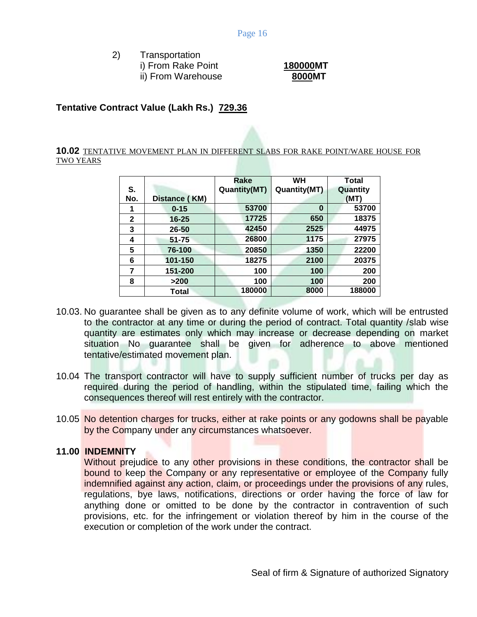| 2) | Transportation     |  |
|----|--------------------|--|
|    | i) From Rake Point |  |
|    | ii) From Warehouse |  |

i) From Rake Point **180000MT** 8000MT

# **Tentative Contract Value (Lakh Rs.) 729.36**

#### **10.02** TENTATIVE MOVEMENT PLAN IN DIFFERENT SLABS FOR RAKE POINT/WARE HOUSE FOR TWO YEARS

|              |               | Rake                | WН                  | Total    |
|--------------|---------------|---------------------|---------------------|----------|
| S.           |               | <b>Quantity(MT)</b> | <b>Quantity(MT)</b> | Quantity |
| No.          | Distance (KM) |                     |                     | (MT)     |
| 1            | $0 - 15$      | 53700               | $\bf{0}$            | 53700    |
| $\mathbf{2}$ | $16 - 25$     | 17725               | 650                 | 18375    |
| 3            | 26-50         | 42450               | 2525                | 44975    |
| 4            | 51-75         | 26800               | 1175                | 27975    |
| 5            | 76-100        | 20850               | 1350                | 22200    |
| 6            | 101-150       | 18275               | 2100                | 20375    |
| 7            | 151-200       | 100                 | 100                 | 200      |
| 8            | >200          | 100                 | 100                 | 200      |
|              | Total         | 180000              | 8000                | 188000   |

- 10.03. No guarantee shall be given as to any definite volume of work, which will be entrusted to the contractor at any time or during the period of contract. Total quantity /slab wise quantity are estimates only which may increase or decrease depending on market situation No guarantee shall be given for adherence to above mentioned tentative/estimated movement plan.
- 10.04 The transport contractor will have to supply sufficient number of trucks per day as required during the period of handling, within the stipulated time, failing which the consequences thereof will rest entirely with the contractor.
- 10.05 No detention charges for trucks, either at rake points or any godowns shall be payable by the Company under any circumstances whatsoever.

#### **11.00 INDEMNITY**

Without prejudice to any other provisions in these conditions, the contractor shall be bound to keep the Company or any representative or employee of the Company fully indemnified against any action, claim, or proceedings under the provisions of any rules, regulations, bye laws, notifications, directions or order having the force of law for anything done or omitted to be done by the contractor in contravention of such provisions, etc. for the infringement or violation thereof by him in the course of the execution or completion of the work under the contract.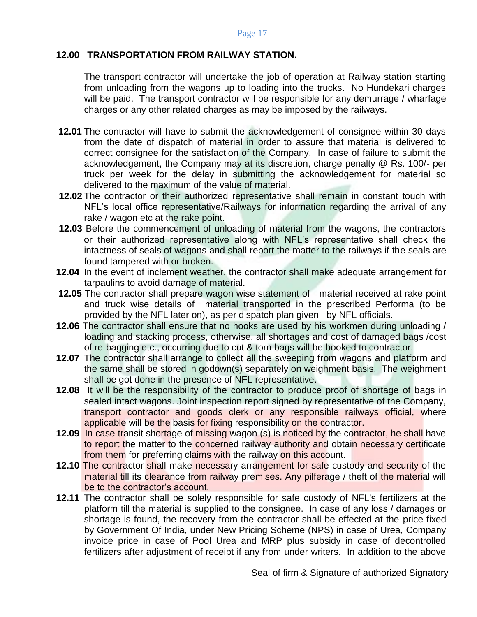# **12.00 TRANSPORTATION FROM RAILWAY STATION.**

The transport contractor will undertake the job of operation at Railway station starting from unloading from the wagons up to loading into the trucks. No Hundekari charges will be paid. The transport contractor will be responsible for any demurrage / wharfage charges or any other related charges as may be imposed by the railways.

- **12.01** The contractor will have to submit the acknowledgement of consignee within 30 days from the date of dispatch of material in order to assure that material is delivered to correct consignee for the satisfaction of the Company. In case of failure to submit the acknowledgement, the Company may at its discretion, charge penalty @ Rs. 100/- per truck per week for the delay in submitting the acknowledgement for material so delivered to the maximum of the value of material.
- **12.02** The contractor or their authorized representative shall remain in constant touch with NFL's local office representative/Railways for information regarding the arrival of any rake / wagon etc at the rake point.
- **12.03** Before the commencement of unloading of material from the wagons, the contractors or their authorized representative along with NFL's representative shall check the intactness of seals of wagons and shall report the matter to the railways if the seals are found tampered with or broken.
- **12.04** In the event of inclement weather, the contractor shall make adequate arrangement for tarpaulins to avoid damage of material.
- **12.05** The contractor shall prepare wagon wise statement of material received at rake point and truck wise details of material transported in the prescribed Performa (to be provided by the NFL later on), as per dispatch plan given by NFL officials.
- **12.06** The contractor shall ensure that no hooks are used by his workmen during unloading / loading and stacking process, otherwise, all shortages and cost of damaged bags /cost of re-bagging etc., occurring due to cut & torn bags will be booked to contractor.
- **12.07** The contractor shall arrange to collect all the sweeping from wagons and platform and the same shall be stored in godown(s) separately on weighment basis. The weighment shall be got done in the presence of NFL representative.
- **12.08** It will be the responsibility of the contractor to produce proof of shortage of bags in sealed intact wagons. Joint inspection report signed by representative of the Company, transport contractor and goods clerk or any responsible railways official, where applicable will be the basis for fixing responsibility on the contractor.
- **12.09** In case transit shortage of missing wagon (s) is noticed by the contractor, he shall have to report the matter to the concerned railway authority and obtain necessary certificate from them for preferring claims with the railway on this account.
- **12.10** The contractor shall make necessary arrangement for safe custody and security of the material till its clearance from railway premises. Any pilferage / theft of the material will be to the contractor's account.
- **12.11** The contractor shall be solely responsible for safe custody of NFL's fertilizers at the platform till the material is supplied to the consignee. In case of any loss / damages or shortage is found, the recovery from the contractor shall be effected at the price fixed by Government Of India, under New Pricing Scheme (NPS) in case of Urea, Company invoice price in case of Pool Urea and MRP plus subsidy in case of decontrolled fertilizers after adjustment of receipt if any from under writers. In addition to the above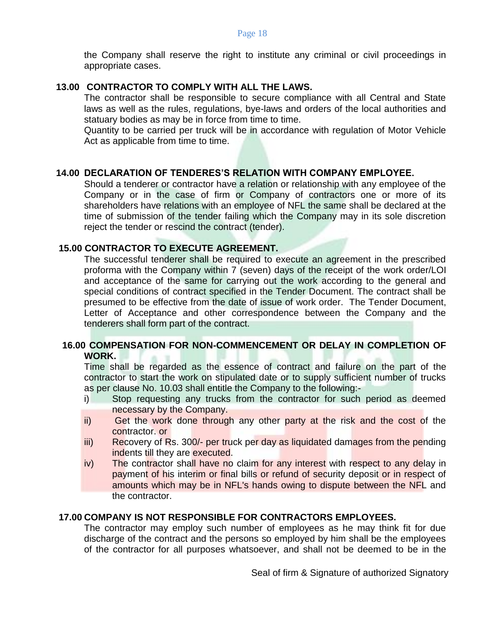the Company shall reserve the right to institute any criminal or civil proceedings in appropriate cases.

### **13.00 CONTRACTOR TO COMPLY WITH ALL THE LAWS.**

The contractor shall be responsible to secure compliance with all Central and State laws as well as the rules, regulations, bye-laws and orders of the local authorities and statuary bodies as may be in force from time to time.

Quantity to be carried per truck will be in accordance with regulation of Motor Vehicle Act as applicable from time to time.

#### **14.00 DECLARATION OF TENDERES'S RELATION WITH COMPANY EMPLOYEE.**

Should a tenderer or contractor have a relation or relationship with any employee of the Company or in the case of firm or Company of contractors one or more of its shareholders have relations with an employee of NFL the same shall be declared at the time of submission of the tender failing which the Company may in its sole discretion reject the tender or rescind the contract (tender).

### **15.00 CONTRACTOR TO EXECUTE AGREEMENT.**

The successful tenderer shall be required to execute an agreement in the prescribed proforma with the Company within 7 (seven) days of the receipt of the work order/LOI and acceptance of the same for carrying out the work according to the general and special conditions of contract specified in the Tender Document. The contract shall be presumed to be effective from the date of issue of work order. The Tender Document, Letter of Acceptance and other correspondence between the Company and the tenderers shall form part of the contract.

### **16.00 COMPENSATION FOR NON-COMMENCEMENT OR DELAY IN COMPLETION OF WORK.**

Time shall be regarded as the essence of contract and failure on the part of the contractor to start the work on stipulated date or to supply sufficient number of trucks as per clause No. 10.03 shall entitle the Company to the following:-

- i) Stop requesting any trucks from the contractor for such period as deemed necessary by the Company.
- ii) Get the work done through any other party at the risk and the cost of the contractor. or
- iii) Recovery of Rs. 300/- per truck per day as liquidated damages from the pending indents till they are executed.
- iv) The contractor shall have no claim for any interest with respect to any delay in payment of his interim or final bills or refund of security deposit or in respect of amounts which may be in NFL's hands owing to dispute between the NFL and the contractor.

#### **17.00 COMPANY IS NOT RESPONSIBLE FOR CONTRACTORS EMPLOYEES.**

The contractor may employ such number of employees as he may think fit for due discharge of the contract and the persons so employed by him shall be the employees of the contractor for all purposes whatsoever, and shall not be deemed to be in the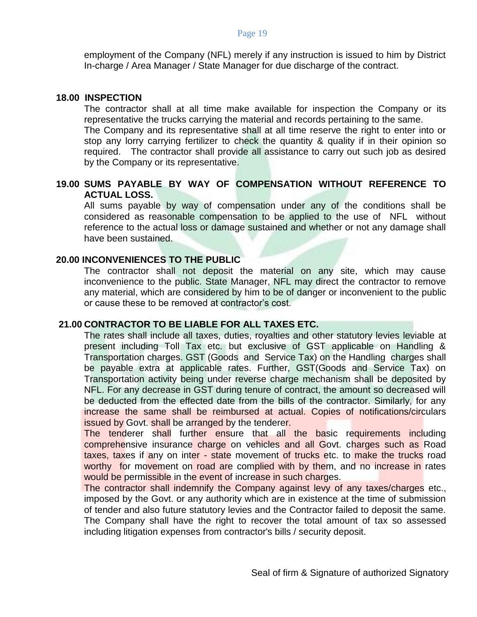employment of the Company (NFL) merely if any instruction is issued to him by District In-charge / Area Manager / State Manager for due discharge of the contract.

#### **18.00 INSPECTION**

The contractor shall at all time make available for inspection the Company or its representative the trucks carrying the material and records pertaining to the same.

The Company and its representative shall at all time reserve the right to enter into or stop any lorry carrying fertilizer to check the quantity & quality if in their opinion so required. The contractor shall provide all assistance to carry out such job as desired by the Company or its representative.

# **19.00 SUMS PAYABLE BY WAY OF COMPENSATION WITHOUT REFERENCE TO ACTUAL LOSS.**

All sums payable by way of compensation under any of the conditions shall be considered as reasonable compensation to be applied to the use of NFL without reference to the actual loss or damage sustained and whether or not any damage shall have been sustained.

# **20.00 INCONVENIENCES TO THE PUBLIC**

The contractor shall not deposit the material on any site, which may cause inconvenience to the public. State Manager, NFL may direct the contractor to remove any material, which are considered by him to be of danger or inconvenient to the public or cause these to be removed at contractor's cost.

#### **21.00 CONTRACTOR TO BE LIABLE FOR ALL TAXES ETC.**

The rates shall include all taxes, duties, royalties and other statutory levies leviable at present including Toll Tax etc. but exclusive of GST applicable on Handling & Transportation charges. GST (Goods and Service Tax) on the Handling charges shall be payable extra at applicable rates. Further, GST(Goods and Service Tax) on Transportation activity being under reverse charge mechanism shall be deposited by NFL. For any decrease in GST during tenure of contract, the amount so decreased will be deducted from the effected date from the bills of the contractor. Similarly, for any increase the same shall be reimbursed at actual. Copies of notifications/circulars issued by Govt. shall be arranged by the tenderer.

The tenderer shall further ensure that all the basic requirements including comprehensive insurance charge on vehicles and all Govt. charges such as Road taxes, taxes if any on inter - state movement of trucks etc. to make the trucks road worthy for movement on road are complied with by them, and no increase in rates would be permissible in the event of increase in such charges.

The contractor shall indemnify the Company against levy of any taxes/charges etc., imposed by the Govt. or any authority which are in existence at the time of submission of tender and also future statutory levies and the Contractor failed to deposit the same. The Company shall have the right to recover the total amount of tax so assessed including litigation expenses from contractor's bills / security deposit.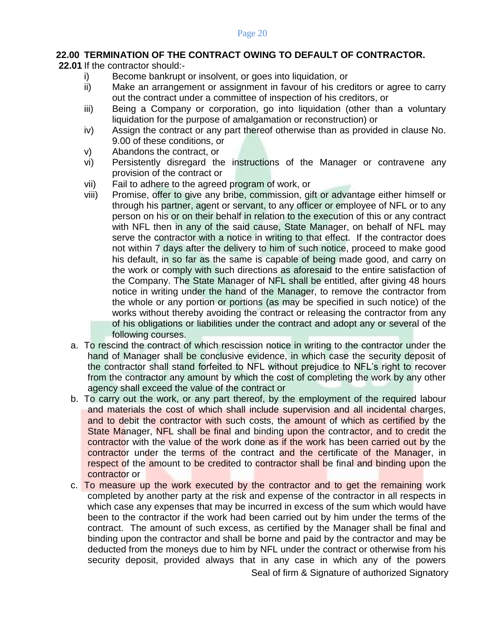# **22.00 TERMINATION OF THE CONTRACT OWING TO DEFAULT OF CONTRACTOR.**

**22.01** If the contractor should:-

- i) Become bankrupt or insolvent, or goes into liquidation, or
- ii) Make an arrangement or assignment in favour of his creditors or agree to carry out the contract under a committee of inspection of his creditors, or
- iii) Being a Company or corporation, go into liquidation (other than a voluntary liquidation for the purpose of amalgamation or reconstruction) or
- iv) Assign the contract or any part thereof otherwise than as provided in clause No. 9.00 of these conditions, or
- v) Abandons the contract, or
- vi) Persistently disregard the instructions of the Manager or contravene any provision of the contract or
- vii) Fail to adhere to the agreed program of work, or
- viii) Promise, offer to give any bribe, commission, gift or advantage either himself or through his partner, agent or servant, to any officer or employee of NFL or to any person on his or on their behalf in relation to the execution of this or any contract with NFL then in any of the said cause, State Manager, on behalf of NFL may serve the contractor with a notice in writing to that effect. If the contractor does not within 7 days after the delivery to him of such notice, proceed to make good his default, in so far as the same is capable of being made good, and carry on the work or comply with such directions as aforesaid to the entire satisfaction of the Company. The State Manager of NFL shall be entitled, after giving 48 hours notice in writing under the hand of the Manager, to remove the contractor from the whole or any portion or portions (as may be specified in such notice) of the works without thereby avoiding the contract or releasing the contractor from any of his obligations or liabilities under the contract and adopt any or several of the following courses.
- a. To rescind the contract of which rescission notice in writing to the contractor under the hand of Manager shall be conclusive evidence, in which case the security deposit of the contractor shall stand forfeited to NFL without prejudice to NFL's right to recover from the contractor any amount by which the cost of completing the work by any other agency shall exceed the value of the contract or
- b. To carry out the work, or any part thereof, by the employment of the required labour and materials the cost of which shall include supervision and all incidental charges, and to debit the contractor with such costs, the amount of which as certified by the State Manager, NFL shall be final and binding upon the contractor, and to credit the contractor with the value of the work done as if the work has been carried out by the contractor under the terms of the contract and the certificate of the Manager, in respect of the amount to be credited to contractor shall be final and binding upon the contractor or
- c. To measure up the work executed by the contractor and to get the remaining work completed by another party at the risk and expense of the contractor in all respects in which case any expenses that may be incurred in excess of the sum which would have been to the contractor if the work had been carried out by him under the terms of the contract. The amount of such excess, as certified by the Manager shall be final and binding upon the contractor and shall be borne and paid by the contractor and may be deducted from the moneys due to him by NFL under the contract or otherwise from his security deposit, provided always that in any case in which any of the powers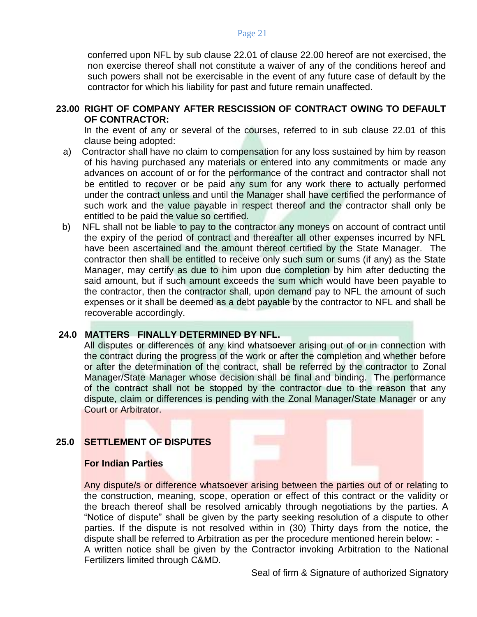conferred upon NFL by sub clause 22.01 of clause 22.00 hereof are not exercised, the non exercise thereof shall not constitute a waiver of any of the conditions hereof and such powers shall not be exercisable in the event of any future case of default by the contractor for which his liability for past and future remain unaffected.

### **23.00 RIGHT OF COMPANY AFTER RESCISSION OF CONTRACT OWING TO DEFAULT OF CONTRACTOR:**

In the event of any or several of the courses, referred to in sub clause 22.01 of this clause being adopted:

- a) Contractor shall have no claim to compensation for any loss sustained by him by reason of his having purchased any materials or entered into any commitments or made any advances on account of or for the performance of the contract and contractor shall not be entitled to recover or be paid any sum for any work there to actually performed under the contract unless and until the Manager shall have certified the performance of such work and the value payable in respect thereof and the contractor shall only be entitled to be paid the value so certified.
- b) NFL shall not be liable to pay to the contractor any moneys on account of contract until the expiry of the period of contract and thereafter all other expenses incurred by NFL have been ascertained and the amount thereof certified by the State Manager. The contractor then shall be entitled to receive only such sum or sums (if any) as the State Manager, may certify as due to him upon due completion by him after deducting the said amount, but if such amount exceeds the sum which would have been payable to the contractor, then the contractor shall, upon demand pay to NFL the amount of such expenses or it shall be deemed as a debt payable by the contractor to NFL and shall be recoverable accordingly.

# **24.0 MATTERS FINALLY DETERMINED BY NFL.**

All disputes or differences of any kind whatsoever arising out of or in connection with the contract during the progress of the work or after the completion and whether before or after the determination of the contract, shall be referred by the contractor to Zonal Manager/State Manager whose decision shall be final and binding. The performance of the contract shall not be stopped by the contractor due to the reason that any dispute, claim or differences is pending with the Zonal Manager/State Manager or any Court or Arbitrator.

# **25.0 SETTLEMENT OF DISPUTES**

#### **For Indian Parties**

Any dispute/s or difference whatsoever arising between the parties out of or relating to the construction, meaning, scope, operation or effect of this contract or the validity or the breach thereof shall be resolved amicably through negotiations by the parties. A "Notice of dispute" shall be given by the party seeking resolution of a dispute to other parties. If the dispute is not resolved within in (30) Thirty days from the notice, the dispute shall be referred to Arbitration as per the procedure mentioned herein below: - A written notice shall be given by the Contractor invoking Arbitration to the National Fertilizers limited through C&MD*.*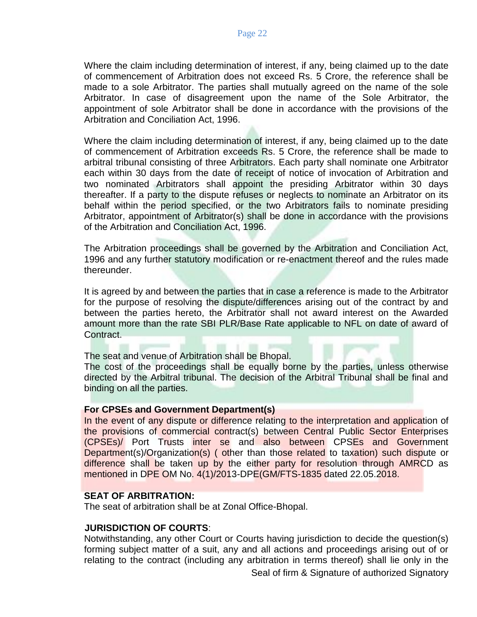Where the claim including determination of interest, if any, being claimed up to the date of commencement of Arbitration does not exceed Rs. 5 Crore, the reference shall be made to a sole Arbitrator. The parties shall mutually agreed on the name of the sole Arbitrator. In case of disagreement upon the name of the Sole Arbitrator, the appointment of sole Arbitrator shall be done in accordance with the provisions of the Arbitration and Conciliation Act, 1996.

Where the claim including determination of interest, if any, being claimed up to the date of commencement of Arbitration exceeds Rs. 5 Crore, the reference shall be made to arbitral tribunal consisting of three Arbitrators. Each party shall nominate one Arbitrator each within 30 days from the date of receipt of notice of invocation of Arbitration and two nominated Arbitrators shall appoint the presiding Arbitrator within 30 days thereafter. If a party to the dispute refuses or neglects to nominate an Arbitrator on its behalf within the period specified, or the two Arbitrators fails to nominate presiding Arbitrator, appointment of Arbitrator(s) shall be done in accordance with the provisions of the Arbitration and Conciliation Act, 1996.

The Arbitration proceedings shall be governed by the Arbitration and Conciliation Act, 1996 and any further statutory modification or re-enactment thereof and the rules made thereunder.

It is agreed by and between the parties that in case a reference is made to the Arbitrator for the purpose of resolving the dispute/differences arising out of the contract by and between the parties hereto, the Arbitrator shall not award interest on the Awarded amount more than the rate SBI PLR/Base Rate applicable to NFL on date of award of Contract.

The seat and venue of Arbitration shall be Bhopal.

The cost of the proceedings shall be equally borne by the parties, unless otherwise directed by the Arbitral tribunal. The decision of the Arbitral Tribunal shall be final and binding on all the parties.

#### **For CPSEs and Government Department(s)**

In the event of any dispute or difference relating to the interpretation and application of the provisions of commercial contract(s) between Central Public Sector Enterprises (CPSEs)/ Port Trusts inter se and also between CPSEs and Government Department(s)/Organization(s) ( other than those related to taxation) such dispute or difference shall be taken up by the either party for resolution through AMRCD as mentioned in DPE OM No. 4(1)/2013-DPE(GM/FTS-1835 dated 22.05.2018.

#### **SEAT OF ARBITRATION:**

The seat of arbitration shall be at Zonal Office-Bhopal.

#### **JURISDICTION OF COURTS**:

Notwithstanding, any other Court or Courts having jurisdiction to decide the question(s) forming subject matter of a suit, any and all actions and proceedings arising out of or relating to the contract (including any arbitration in terms thereof) shall lie only in the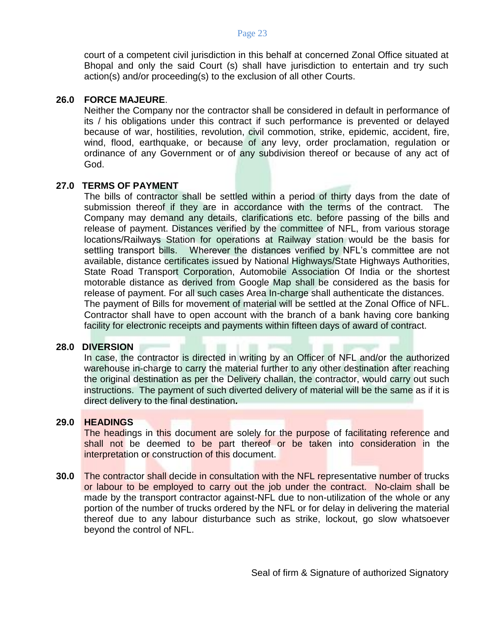court of a competent civil jurisdiction in this behalf at concerned Zonal Office situated at Bhopal and only the said Court (s) shall have jurisdiction to entertain and try such action(s) and/or proceeding(s) to the exclusion of all other Courts.

# **26.0 FORCE MAJEURE**.

Neither the Company nor the contractor shall be considered in default in performance of its / his obligations under this contract if such performance is prevented or delayed because of war, hostilities, revolution, civil commotion, strike, epidemic, accident, fire, wind, flood, earthquake, or because of any levy, order proclamation, regulation or ordinance of any Government or of any subdivision thereof or because of any act of God.

### **27.0 TERMS OF PAYMENT**

The bills of contractor shall be settled within a period of thirty days from the date of submission thereof if they are in accordance with the terms of the contract. The Company may demand any details, clarifications etc. before passing of the bills and release of payment. Distances verified by the committee of NFL, from various storage locations/Railways Station for operations at Railway station would be the basis for settling transport bills. Wherever the distances verified by NFL's committee are not available, distance certificates issued by National Highways/State Highways Authorities, State Road Transport Corporation, Automobile Association Of India or the shortest motorable distance as derived from Google Map shall be considered as the basis for release of payment. For all such cases Area In-charge shall authenticate the distances. The payment of Bills for movement of material will be settled at the Zonal Office of NFL. Contractor shall have to open account with the branch of a bank having core banking facility for electronic receipts and payments within fifteen days of award of contract.

#### **28.0 DIVERSION**

In case, the contractor is directed in writing by an Officer of NFL and/or the authorized warehouse in-charge to carry the material further to any other destination after reaching the original destination as per the Delivery challan, the contractor, would carry out such instructions. The payment of such diverted delivery of material will be the same as if it is direct delivery to the final destination*.* 

#### **29.0 HEADINGS**

The headings in this document are solely for the purpose of facilitating reference and shall not be deemed to be part thereof or be taken into consideration in the interpretation or construction of this document.

**30.0** The contractor shall decide in consultation with the NFL representative number of trucks or labour to be employed to carry out the job under the contract. No-claim shall be made by the transport contractor against-NFL due to non-utilization of the whole or any portion of the number of trucks ordered by the NFL or for delay in delivering the material thereof due to any labour disturbance such as strike, lockout, go slow whatsoever beyond the control of NFL.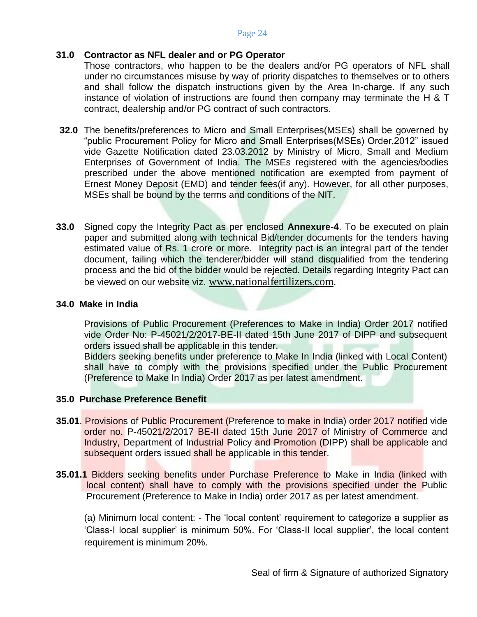### **31.0 Contractor as NFL dealer and or PG Operator**

Those contractors, who happen to be the dealers and/or PG operators of NFL shall under no circumstances misuse by way of priority dispatches to themselves or to others and shall follow the dispatch instructions given by the Area In-charge. If any such instance of violation of instructions are found then company may terminate the H & T contract, dealership and/or PG contract of such contractors.

- **32.0** The benefits/preferences to Micro and Small Enterprises(MSEs) shall be governed by "public Procurement Policy for Micro and Small Enterprises(MSEs) Order,2012" issued vide Gazette Notification dated 23.03.2012 by Ministry of Micro, Small and Medium Enterprises of Government of India. The MSEs registered with the agencies/bodies prescribed under the above mentioned notification are exempted from payment of Ernest Money Deposit (EMD) and tender fees(if any). However, for all other purposes, MSEs shall be bound by the terms and conditions of the NIT.
- **33.0** Signed copy the Integrity Pact as per enclosed **Annexure-4**. To be executed on plain paper and submitted along with technical Bid/tender documents for the tenders having estimated value of Rs. 1 crore or more. Integrity pact is an integral part of the tender document, failing which the tenderer/bidder will stand disqualified from the tendering process and the bid of the bidder would be rejected. Details regarding Integrity Pact can be viewed on our website viz. [www.nationalfertilizers.com](http://www.nationalfertilizers.com/).

#### **34.0 Make in India**

Provisions of Public Procurement (Preferences to Make in India) Order 2017 notified vide Order No: P-45021/2/2017-BE-II dated 15th June 2017 of DIPP and subsequent orders issued shall be applicable in this tender.

Bidders seeking benefits under preference to Make In India (linked with Local Content) shall have to comply with the provisions specified under the Public Procurement (Preference to Make In India) Order 2017 as per latest amendment.

#### **35.0 Purchase Preference Benefit**

- **35.01**. Provisions of Public Procurement (Preference to make in India) order 2017 notified vide order no. P-45021/2/2017 BE-II dated 15th June 2017 of Ministry of Commerce and Industry, Department of Industrial Policy and Promotion (DIPP) shall be applicable and subsequent orders issued shall be applicable in this tender.
- **35.01.1** Bidders seeking benefits under Purchase Preference to Make in India (linked with local content) shall have to comply with the provisions specified under the Public Procurement (Preference to Make in India) order 2017 as per latest amendment.

(a) Minimum local content: - The 'local content' requirement to categorize a supplier as 'Class-I local supplier' is minimum 50%. For 'Class-II local supplier', the local content requirement is minimum 20%.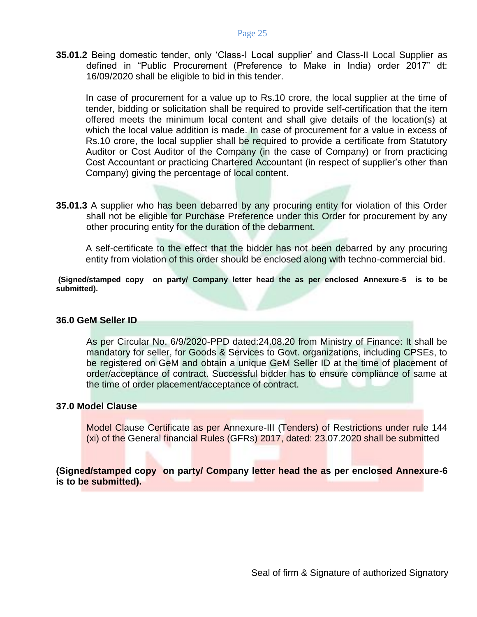**35.01.2** Being domestic tender, only 'Class-I Local supplier' and Class-II Local Supplier as defined in "Public Procurement (Preference to Make in India) order 2017" dt: 16/09/2020 shall be eligible to bid in this tender.

In case of procurement for a value up to Rs.10 crore, the local supplier at the time of tender, bidding or solicitation shall be required to provide self-certification that the item offered meets the minimum local content and shall give details of the location(s) at which the local value addition is made. In case of procurement for a value in excess of Rs.10 crore, the local supplier shall be required to provide a certificate from Statutory Auditor or Cost Auditor of the Company (in the case of Company) or from practicing Cost Accountant or practicing Chartered Accountant (in respect of supplier's other than Company) giving the percentage of local content.

**35.01.3** A supplier who has been debarred by any procuring entity for violation of this Order shall not be eligible for Purchase Preference under this Order for procurement by any other procuring entity for the duration of the debarment.

A self-certificate to the effect that the bidder has not been debarred by any procuring entity from violation of this order should be enclosed along with techno-commercial bid.

**(Signed/stamped copy on party/ Company letter head the as per enclosed Annexure-5 is to be submitted).**

#### **36.0 GeM Seller ID**

As per Circular No. 6/9/2020-PPD dated:24.08.20 from Ministry of Finance: It shall be mandatory for seller, for Goods & Services to Govt. organizations, including CPSEs, to be registered on GeM and obtain a unique GeM Seller ID at the time of placement of order/acceptance of contract. Successful bidder has to ensure compliance of same at the time of order placement/acceptance of contract.

#### **37.0 Model Clause**

Model Clause Certificate as per Annexure-III (Tenders) of Restrictions under rule 144 (xi) of the General financial Rules (GFRs) 2017, dated: 23.07.2020 shall be submitted

**(Signed/stamped copy on party/ Company letter head the as per enclosed Annexure-6 is to be submitted).**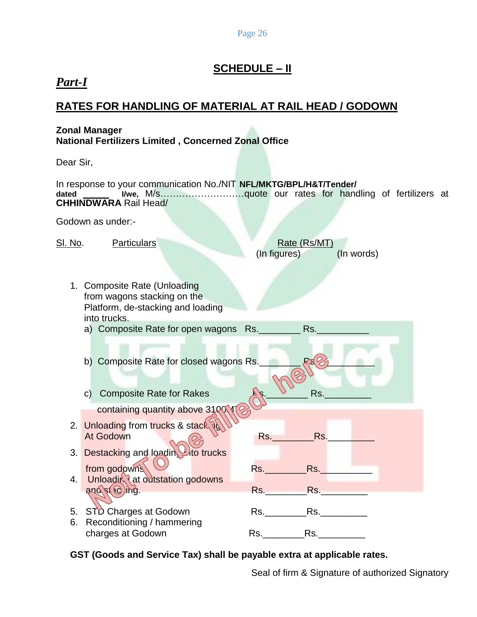# **SCHEDULE – II**

# *Part-I*

# **RATES FOR HANDLING OF MATERIAL AT RAIL HEAD / GODOWN**

# **Zonal Manager**

**National Fertilizers Limited , Concerned Zonal Office**

Dear Sir,

In response to your communication No./NIT **NFL/MKTG/BPL/H&T/Tender/ dated \_\_\_\_\_\_ I/we,** M/s………………………quote our rates for handling of fertilizers at **CHHINDWARA** Rail Head/

Godown as under:-

| <u>Sl. No</u> . | <b>Particulars</b>                                                                                               | (In figures)  | Rate (Rs/MT) | (In words) |
|-----------------|------------------------------------------------------------------------------------------------------------------|---------------|--------------|------------|
|                 |                                                                                                                  |               |              |            |
|                 | 1. Composite Rate (Unloading<br>from wagons stacking on the<br>Platform, de-stacking and loading<br>into trucks. |               |              |            |
|                 | a) Composite Rate for open wagons Rs. _________ Rs.                                                              |               |              |            |
|                 | b) Composite Rate for closed wagons Rs.                                                                          |               |              |            |
|                 | c) Composite Rate for Rakes                                                                                      |               | Rs.          |            |
|                 | containing quantity above 31 PAY (2)                                                                             |               |              |            |
|                 | 2. Unloading from trucks & stack as<br>At Godown                                                                 | Rs. Rs.       |              |            |
|                 | 3. Destacking and loadin Oto trucks                                                                              |               |              |            |
| 4.1             | from godowns<br>Unloadir at outstation godowns                                                                   | Rs.__________ | Rs.          |            |
|                 | $\frac{1}{2}$ and $\frac{1}{2}$ (c) $\frac{1}{2}$ ing.                                                           | Rs. Rs.       |              |            |
|                 | 5. STD Charges at Godown<br>6. Reconditioning / hammering                                                        | Rs. Rs.       |              |            |
|                 | charges at Godown                                                                                                |               |              |            |

**GST (Goods and Service Tax) shall be payable extra at applicable rates.**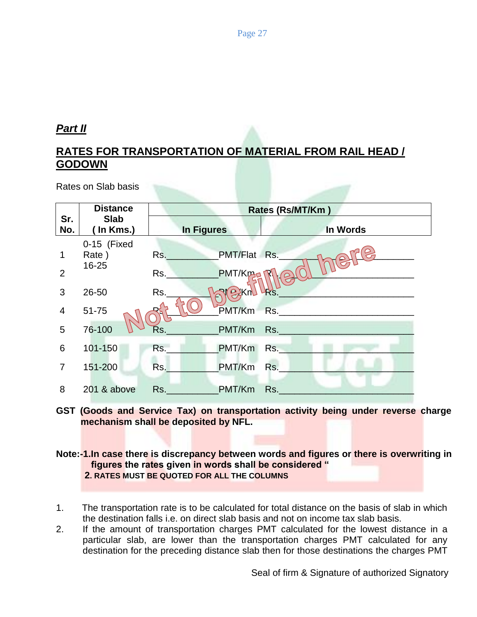# *Part II*

# **RATES FOR TRANSPORTATION OF MATERIAL FROM RAIL HEAD / GODOWN**

Rates on Slab basis

|                | <b>Distance</b>           |            |                | Rates (Rs/MT/Km) |
|----------------|---------------------------|------------|----------------|------------------|
| Sr.<br>No.     | <b>Slab</b><br>( In Kms.) | In Figures |                | In Words         |
| 1              | 0-15 (Fixed<br>Rate)      | Rs.        | PMT/Flat Rs.   |                  |
| $\overline{2}$ | $16 - 25$                 | Rs.        | PMT/Kma R      |                  |
| 3              | 26-50                     | Rs.        | <b>RIPAKIN</b> |                  |
| $\overline{4}$ | $51 - 75$                 |            | PMT/Km         | Rs.              |
| 5              | 76-100                    | Rs.        | PMT/Km         | Rs.              |
| 6              | 101-150                   | Rs.        | PMT/Km         | Rs.              |
| $\overline{7}$ | 151-200                   | Rs.        | PMT/Km         | Rs.              |
| 8              | 201 & above               | Rs.        | PMT/Km         | Rs.              |

**GST (Goods and Service Tax) on transportation activity being under reverse charge mechanism shall be deposited by NFL.**

# **Note:-1.In case there is discrepancy between words and figures or there is overwriting in figures the rates given in words shall be considered " 2. RATES MUST BE QUOTED FOR ALL THE COLUMNS**

- 1. The transportation rate is to be calculated for total distance on the basis of slab in which the destination falls i.e. on direct slab basis and not on income tax slab basis.
- 2. If the amount of transportation charges PMT calculated for the lowest distance in a particular slab, are lower than the transportation charges PMT calculated for any destination for the preceding distance slab then for those destinations the charges PMT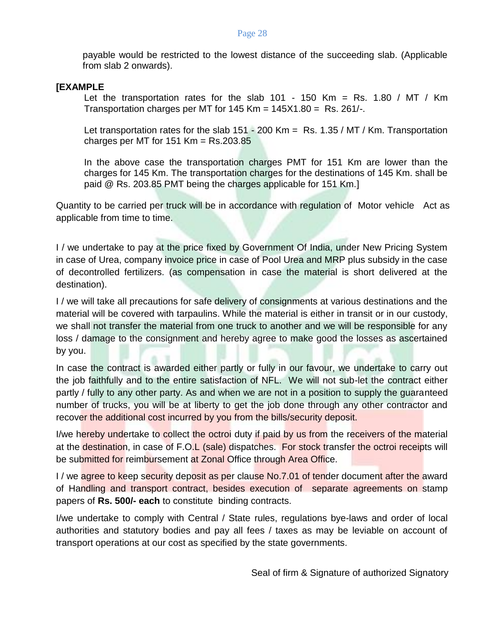payable would be restricted to the lowest distance of the succeeding slab. (Applicable from slab 2 onwards).

### **[EXAMPLE**

Let the transportation rates for the slab 101 - 150 Km = Rs. 1.80 / MT / Km Transportation charges per MT for  $145$  Km =  $145X1.80 =$  Rs. 261/-.

Let transportation rates for the slab 151 - 200 Km = Rs. 1.35 / MT / Km. Transportation charges per MT for 151 Km =  $Rs.203.85$ 

In the above case the transportation charges PMT for 151 Km are lower than the charges for 145 Km. The transportation charges for the destinations of 145 Km. shall be paid @ Rs. 203.85 PMT being the charges applicable for 151 Km.]

Quantity to be carried per truck will be in accordance with regulation of Motor vehicle Act as applicable from time to time.

I / we undertake to pay at the price fixed by Government Of India, under New Pricing System in case of Urea, company invoice price in case of Pool Urea and MRP plus subsidy in the case of decontrolled fertilizers. (as compensation in case the material is short delivered at the destination).

I / we will take all precautions for safe delivery of consignments at various destinations and the material will be covered with tarpaulins. While the material is either in transit or in our custody, we shall not transfer the material from one truck to another and we will be responsible for any loss / damage to the consignment and hereby agree to make good the losses as ascertained by you.

In case the contract is awarded either partly or fully in our favour, we undertake to carry out the job faithfully and to the entire satisfaction of NFL. We will not sub-let the contract either partly / fully to any other party. As and when we are not in a position to supply the guaranteed number of trucks, you will be at liberty to get the job done through any other contractor and recover the additional cost incurred by you from the bills/security deposit.

I/we hereby undertake to collect the octroi duty if paid by us from the receivers of the material at the destination, in case of F.O.L (sale) dispatches. For stock transfer the octroi receipts will be submitted for reimbursement at Zonal Office through Area Office.

I / we agree to keep security deposit as per clause No.7.01 of tender document after the award of Handling and transport contract, besides execution of separate agreements on stamp papers of **Rs. 500/- each** to constitute binding contracts.

I/we undertake to comply with Central / State rules, regulations bye-laws and order of local authorities and statutory bodies and pay all fees / taxes as may be leviable on account of transport operations at our cost as specified by the state governments.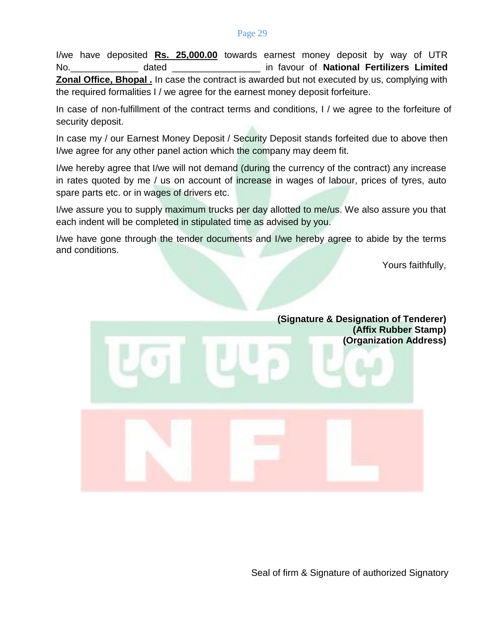I/we have deposited **Rs. 25,000.00** towards earnest money deposit by way of UTR No.\_\_\_\_\_\_\_\_\_\_\_\_\_ dated \_\_\_\_\_\_\_\_\_\_\_\_\_\_\_\_\_ in favour of **National Fertilizers Limited Zonal Office, Bhopal .** In case the contract is awarded but not executed by us, complying with the required formalities I / we agree for the earnest money deposit forfeiture.

In case of non-fulfillment of the contract terms and conditions, I / we agree to the forfeiture of security deposit.

In case my / our Earnest Money Deposit / Security Deposit stands forfeited due to above then I/we agree for any other panel action which the company may deem fit.

I/we hereby agree that I/we will not demand (during the currency of the contract) any increase in rates quoted by me / us on account of increase in wages of labour, prices of tyres, auto spare parts etc. or in wages of drivers etc.

I/we assure you to supply maximum trucks per day allotted to me/us. We also assure you that each indent will be completed in stipulated time as advised by you.

I/we have gone through the tender documents and I/we hereby agree to abide by the terms and conditions.

Yours faithfully,

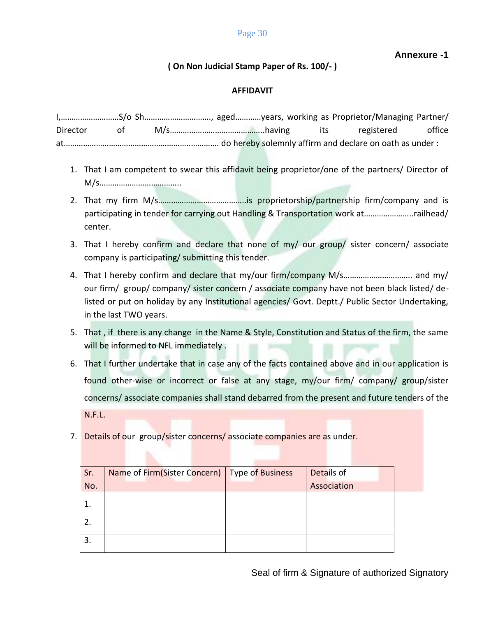#### **Annexure -1**

### **( On Non Judicial Stamp Paper of Rs. 100/- )**

#### **AFFIDAVIT**

| <b>Director</b> | of - |  | registered | office |
|-----------------|------|--|------------|--------|
|                 |      |  |            |        |

- 1. That I am competent to swear this affidavit being proprietor/one of the partners/ Director of M/s………………………………..
- 2. That my firm M/s…………………………………..is proprietorship/partnership firm/company and is participating in tender for carrying out Handling & Transportation work at.......................railhead/ center.
- 3. That I hereby confirm and declare that none of my/ our group/ sister concern/ associate company is participating/ submitting this tender.
- 4. That I hereby confirm and declare that my/our firm/company M/s………………………….. and my/ our firm/ group/ company/ sister concern / associate company have not been black listed/ delisted or put on holiday by any Institutional agencies/ Govt. Deptt./ Public Sector Undertaking, in the last TWO years.
- 5. That , if there is any change in the Name & Style, Constitution and Status of the firm, the same will be informed to NFL immediately .
- 6. That I further undertake that in case any of the facts contained above and in our application is found other-wise or incorrect or false at any stage, my/our firm/ company/ group/sister concerns/ associate companies shall stand debarred from the present and future tenders of the N.F.L.
- 7. Details of our group/sister concerns/ associate companies are as under.

| Sr. | Name of Firm(Sister Concern)   Type of Business | Details of  |
|-----|-------------------------------------------------|-------------|
| No. |                                                 | Association |
|     |                                                 |             |
|     |                                                 |             |
|     |                                                 |             |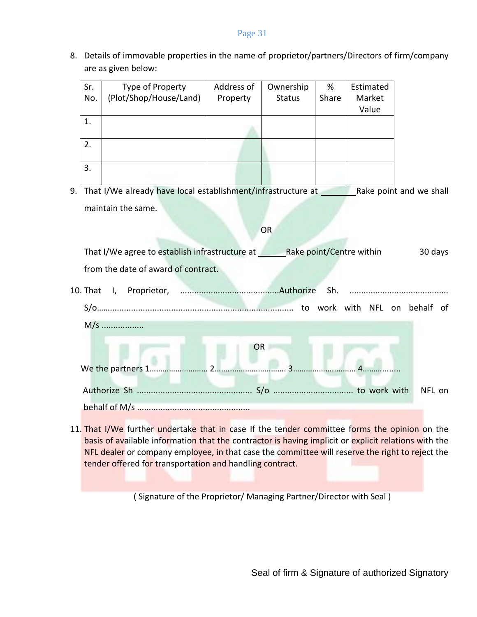8. Details of immovable properties in the name of proprietor/partners/Directors of firm/company are as given below:

| Sr. | Type of Property       | Address of | Ownership     | %     | Estimated |
|-----|------------------------|------------|---------------|-------|-----------|
| No. | (Plot/Shop/House/Land) | Property   | <b>Status</b> | Share | Market    |
|     |                        |            |               |       | Value     |
|     |                        |            |               |       |           |
|     |                        |            |               |       |           |
| 2.  |                        |            |               |       |           |
|     |                        |            |               |       |           |
| 3.  |                        |            |               |       |           |
|     |                        |            |               |       |           |

9. That I/We already have local establishment/infrastructure at Rake point and we shall maintain the same.

OR

That I/We agree to establish infrastructure at Rake point/Centre within 30 days from the date of award of contract.

- 10. That I, Proprietor, ..........................................Authorize Sh. .......................................... S/o…….............................................................................. to work with NFL on behalf of M/s .................. OR We the partners 1………………………… 2………………………………………………………… 4… Authorize Sh ................................................. S/o .................................. to work with NFL on behalf of M/s ................................................
- 11. That I/We further undertake that in case If the tender committee forms the opinion on the basis of available information that the contractor is having implicit or explicit relations with the NFL dealer or company employee, in that case the committee will reserve the right to reject the tender offered for transportation and handling contract.

( Signature of the Proprietor/ Managing Partner/Director with Seal )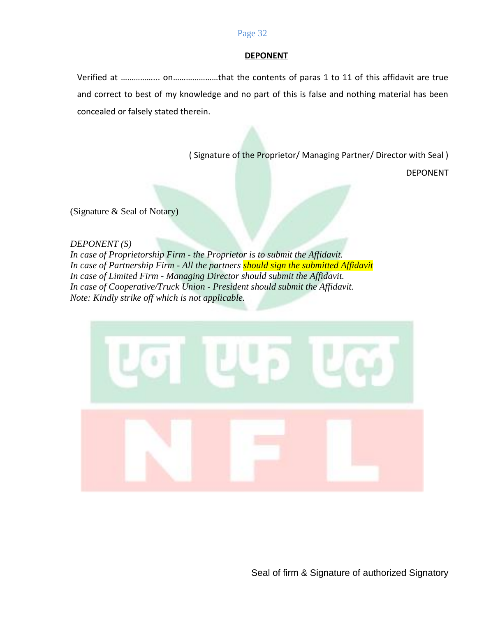#### **DEPONENT**

Verified at ……………... on…………………that the contents of paras 1 to 11 of this affidavit are true and correct to best of my knowledge and no part of this is false and nothing material has been concealed or falsely stated therein.

( Signature of the Proprietor/ Managing Partner/ Director with Seal )

DEPONENT

(Signature & Seal of Notary)

### *DEPONENT (S)*

*In case of Proprietorship Firm - the Proprietor is to submit the Affidavit. In case of Partnership Firm - All the partners should sign the submitted Affidavit In case of Limited Firm - Managing Director should submit the Affidavit. In case of Cooperative/Truck Union - President should submit the Affidavit. Note: Kindly strike off which is not applicable.* 

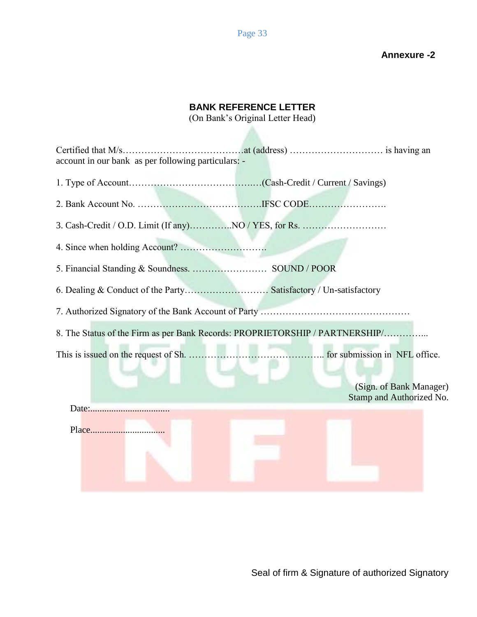### **Annexure -2**

# **BANK REFERENCE LETTER**

(On Bank's Original Letter Head)

| account in our bank as per following particulars: -                          |                                                     |
|------------------------------------------------------------------------------|-----------------------------------------------------|
|                                                                              |                                                     |
|                                                                              |                                                     |
|                                                                              |                                                     |
|                                                                              |                                                     |
|                                                                              |                                                     |
|                                                                              |                                                     |
|                                                                              |                                                     |
| 8. The Status of the Firm as per Bank Records: PROPRIETORSHIP / PARTNERSHIP/ |                                                     |
|                                                                              |                                                     |
|                                                                              |                                                     |
|                                                                              | (Sign. of Bank Manager)<br>Stamp and Authorized No. |
|                                                                              |                                                     |
|                                                                              |                                                     |
|                                                                              |                                                     |
|                                                                              |                                                     |
|                                                                              |                                                     |

Page 33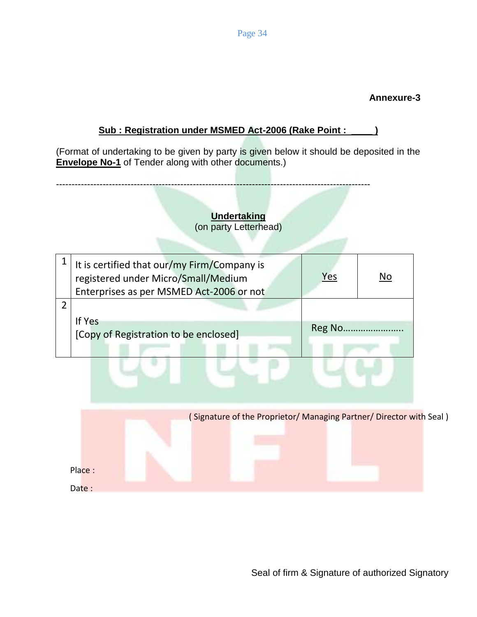# **Annexure-3**

# **Sub : Registration under MSMED Act-2006 (Rake Point : \_\_\_\_ )**

(Format of undertaking to be given by party is given below it should be deposited in the **Envelope No-1** of Tender along with other documents.)

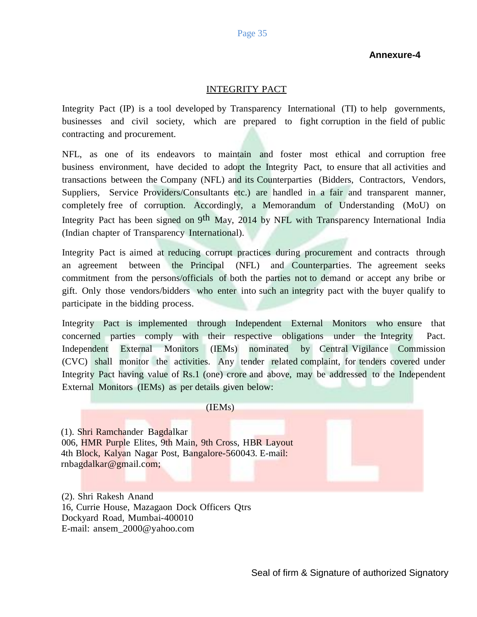#### **Annexure-4**

#### INTEGRITY PACT

Integrity Pact (IP) is a tool developed by Transparency International (TI) to help governments, businesses and civil society, which are prepared to fight corruption in the field of public contracting and procurement.

NFL, as one of its endeavors to maintain and foster most ethical and corruption free business environment, have decided to adopt the Integrity Pact, to ensure that all activities and transactions between the Company (NFL) and its Counterparties (Bidders, Contractors, Vendors, Suppliers, Service Providers/Consultants etc.) are handled in a fair and transparent manner, completely free of corruption. Accordingly, a Memorandum of Understanding (MoU) on Integrity Pact has been signed on 9<sup>th</sup> May, 2014 by NFL with Transparency International India (Indian chapter of Transparency International).

Integrity Pact is aimed at reducing corrupt practices during procurement and contracts through an agreement between the Principal (NFL) and Counterparties. The agreement seeks commitment from the persons/officials of both the parties not to demand or accept any bribe or gift. Only those vendors/bidders who enter into such an integrity pact with the buyer qualify to participate in the bidding process.

Integrity Pact is implemented through Independent External Monitors who ensure that concerned parties comply with their respective obligations under the Integrity Pact. Independent External Monitors (IEMs) nominated by Central Vigilance Commission (CVC) shall monitor the activities. Any tender related complaint, for tenders covered under Integrity Pact having value of Rs.1 (one) crore and above, may be addressed to the Independent External Monitors (IEMs) as per details given below:

#### (IEMs)

(1). Shri Ramchander Bagdalkar 006, HMR Purple Elites, 9th Main, 9th Cross, HBR Layout 4th Block, Kalyan Nagar Post, Bangalore-560043. E-mail: rnbagdalkar@gmail.com;

(2). Shri Rakesh Anand 16, Currie House, Mazagaon Dock Officers Qtrs Dockyard Road, Mumbai-400010 E-mail: [ansem\\_2000@yahoo.com](mailto:ansem_2000@yahoo.com)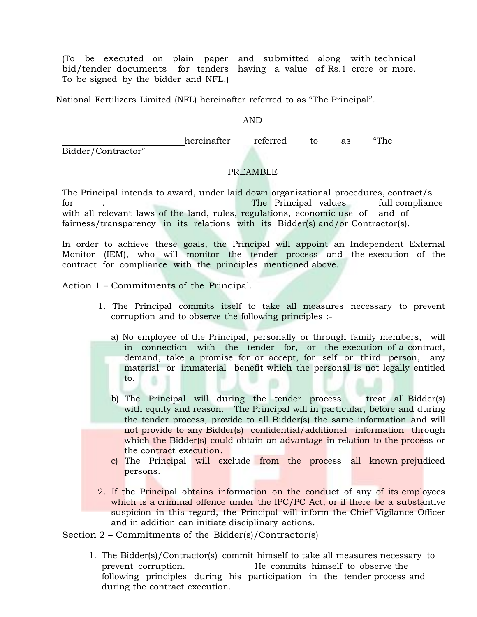(To be executed on plain paper and submitted along with technical bid/tender documents for tenders having a value of Rs.1 crore or more. To be signed by the bidder and NFL.)

National Fertilizers Limited (NFL) hereinafter referred to as "The Principal".

#### AND

hereinafter referred to as "The Bidder/Contractor"

#### PREAMBLE

The Principal intends to award, under laid down organizational procedures, contract/s for . The Principal values full compliance with all relevant laws of the land, rules, regulations, economic use of and of fairness/transparency in its relations with its Bidder(s) and/or Contractor(s).

In order to achieve these goals, the Principal will appoint an Independent External Monitor (IEM), who will monitor the tender process and the execution of the contract for compliance with the principles mentioned above.

Action 1 – Commitments of the Principal.

- 1. The Principal commits itself to take all measures necessary to prevent corruption and to observe the following principles :
	- a) No employee of the Principal, personally or through family members, will in connection with the tender for, or the execution of a contract, demand, take a promise for or accept, for self or third person, any material or immaterial benefit which the personal is not legally entitled to.
	- b) The Principal will during the tender process treat all Bidder(s) with equity and reason. The Principal will in particular, before and during the tender process, provide to all Bidder(s) the same information and will not provide to any Bidder(s) confidential/additional information through which the Bidder(s) could obtain an advantage in relation to the process or the contract execution.
	- c) The Principal will exclude from the process all known prejudiced persons.
- 2. If the Principal obtains information on the conduct of any of its employees which is a criminal offence under the IPC/PC Act, or if there be a substantive suspicion in this regard, the Principal will inform the Chief Vigilance Officer and in addition can initiate disciplinary actions.

Section 2 – Commitments of the Bidder(s)/Contractor(s)

1. The Bidder(s)/Contractor(s) commit himself to take all measures necessary to prevent corruption. He commits himself to observe the following principles during his participation in the tender process and during the contract execution.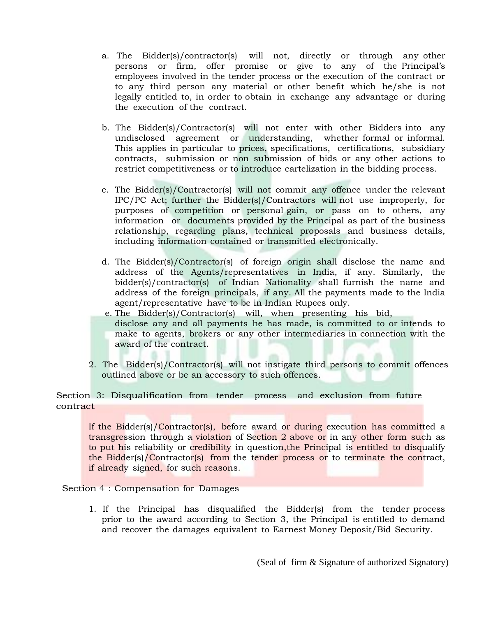- a. The Bidder(s)/contractor(s) will not, directly or through any other persons or firm, offer promise or give to any of the Principal's employees involved in the tender process or the execution of the contract or to any third person any material or other benefit which he/she is not legally entitled to, in order to obtain in exchange any advantage or during the execution of the contract.
- b. The Bidder(s)/Contractor(s) will not enter with other Bidders into any undisclosed agreement or understanding, whether formal or informal. This applies in particular to prices, specifications, certifications, subsidiary contracts, submission or non submission of bids or any other actions to restrict competitiveness or to introduce cartelization in the bidding process.
- c. The Bidder(s)/Contractor(s) will not commit any offence under the relevant IPC/PC Act; further the Bidder(s)/Contractors will not use improperly, for purposes of competition or personal gain, or pass on to others, any information or documents provided by the Principal as part of the business relationship, regarding plans, technical proposals and business details, including information contained or transmitted electronically.
- d. The Bidder(s)/Contractor(s) of foreign origin shall disclose the name and address of the Agents/representatives in India, if any. Similarly, the bidder(s)/contractor(s) of Indian Nationality shall furnish the name and address of the foreign principals, if any. All the payments made to the India agent/representative have to be in Indian Rupees only.
- e. The Bidder(s)/Contractor(s) will, when presenting his bid, disclose any and all payments he has made, is committed to or intends to make to agents, brokers or any other intermediaries in connection with the award of the contract.
- 2. The Bidder(s)/Contractor(s) will not instigate third persons to commit offences outlined above or be an accessory to such offences.

### Section 3: Disqualification from tender process and exclusion from future contract

If the Bidder(s)/Contractor(s), before award or during execution has committed a transgression through a violation of Section 2 above or in any other form such as to put his reliability or credibility in question,the Principal is entitled to disqualify the Bidder(s)/Contractor(s) from the tender process or to terminate the contract, if already signed, for such reasons.

Section 4 : Compensation for Damages

1. If the Principal has disqualified the Bidder(s) from the tender process prior to the award according to Section 3, the Principal is entitled to demand and recover the damages equivalent to Earnest Money Deposit/Bid Security.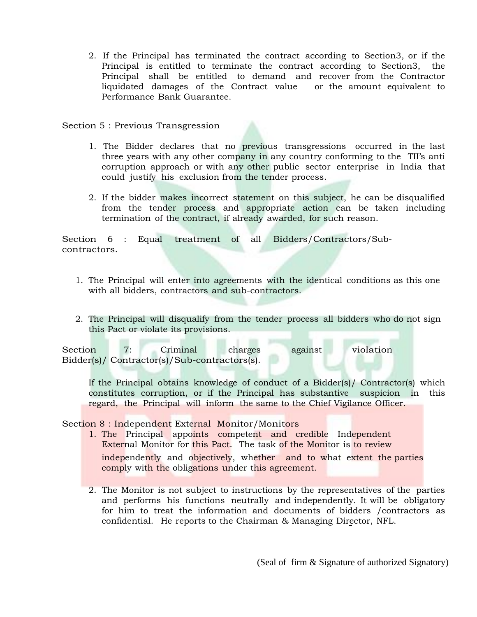2. If the Principal has terminated the contract according to Section3, or if the Principal is entitled to terminate the contract according to Section3, the Principal shall be entitled to demand and recover from the Contractor liquidated damages of the Contract value or the amount equivalent to Performance Bank Guarantee.

#### Section 5 : Previous Transgression

**Contract Contract** 

- 1. The Bidder declares that no previous transgressions occurred in the last three years with any other company in any country conforming to the TII's anti corruption approach or with any other public sector enterprise in India that could justify his exclusion from the tender process.
- 2. If the bidder makes incorrect statement on this subject, he can be disqualified from the tender process and appropriate action can be taken including termination of the contract, if already awarded, for such reason.

Section 6 : Equal treatment of all Bidders/Contractors/Subcontractors.

- 1. The Principal will enter into agreements with the identical conditions as this one with all bidders, contractors and sub-contractors.
- 2. The Principal will disqualify from the tender process all bidders who do not sign this Pact or violate its provisions.

| Section | Criminal                                        | charges | against | violation |
|---------|-------------------------------------------------|---------|---------|-----------|
|         | $Bidder(s) /$ Contractor(s)/Sub-contractors(s). |         |         |           |

and the course of the con-

If the Principal obtains knowledge of conduct of a Bidder(s)/ Contractor(s) which constitutes corruption, or if the Principal has substantive suspicion in this regard, the Principal will inform the same to the Chief Vigilance Officer.

Section 8 : Independent External Monitor/Monitors

- 1. The Principal appoints competent and credible Independent External Monitor for this Pact. The task of the Monitor is to review independently and objectively, whether and to what extent the parties comply with the obligations under this agreement.
- 2. The Monitor is not subject to instructions by the representatives of the parties and performs his functions neutrally and independently. It will be obligatory for him to treat the information and documents of bidders /contractors as confidential. He reports to the Chairman & Managing Director, NFL.

and the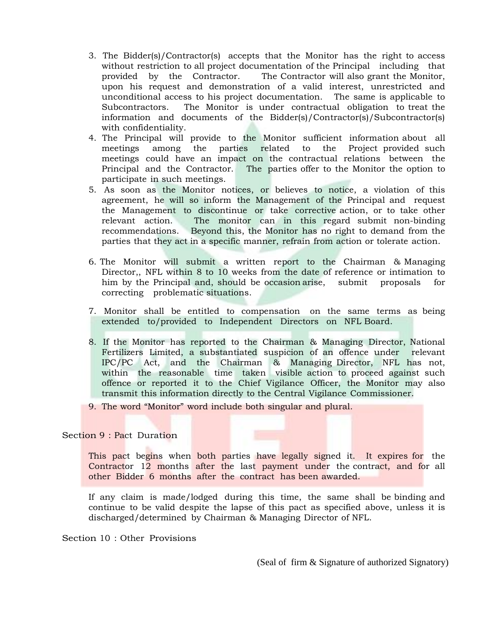- 3. The Bidder(s)/Contractor(s) accepts that the Monitor has the right to access without restriction to all project documentation of the Principal including that provided by the Contractor. The Contractor will also grant the Monitor, upon his request and demonstration of a valid interest, unrestricted and unconditional access to his project documentation. The same is applicable to Subcontractors. The Monitor is under contractual obligation to treat the information and documents of the Bidder(s)/Contractor(s)/Subcontractor(s) with confidentiality.
- 4. The Principal will provide to the Monitor sufficient information about all meetings among the parties related to the Project provided such meetings could have an impact on the contractual relations between the Principal and the Contractor. The parties offer to the Monitor the option to participate in such meetings.
- 5. As soon as the Monitor notices, or believes to notice, a violation of this agreement, he will so inform the Management of the Principal and request the Management to discontinue or take corrective action, or to take other relevant action. The monitor can in this regard submit non-binding recommendations. Beyond this, the Monitor has no right to demand from the parties that they act in a specific manner, refrain from action or tolerate action.
- 6. The Monitor will submit a written report to the Chairman & Managing Director,, NFL within 8 to 10 weeks from the date of reference or intimation to him by the Principal and, should be occasion arise, submit proposals for correcting problematic situations.
- 7. Monitor shall be entitled to compensation on the same terms as being extended to/provided to Independent Directors on NFL Board.
- 8. If the Monitor has reported to the Chairman & Managing Director, National Fertilizers Limited, a substantiated suspicion of an offence under relevant IPC/PC Act, and the Chairman & Managing Director, NFL has not, within the reasonable time taken visible action to proceed against such offence or reported it to the Chief Vigilance Officer, the Monitor may also transmit this information directly to the Central Vigilance Commissioner.
- 9. The word "Monitor" word include both singular and plural.

Section 9 : Pact Duration

This pact begins when both parties have legally signed it. It expires for the Contractor 12 months after the last payment under the contract, and for all other Bidder 6 months after the contract has been awarded.

If any claim is made/lodged during this time, the same shall be binding and continue to be valid despite the lapse of this pact as specified above, unless it is discharged/determined by Chairman & Managing Director of NFL.

Section 10 : Other Provisions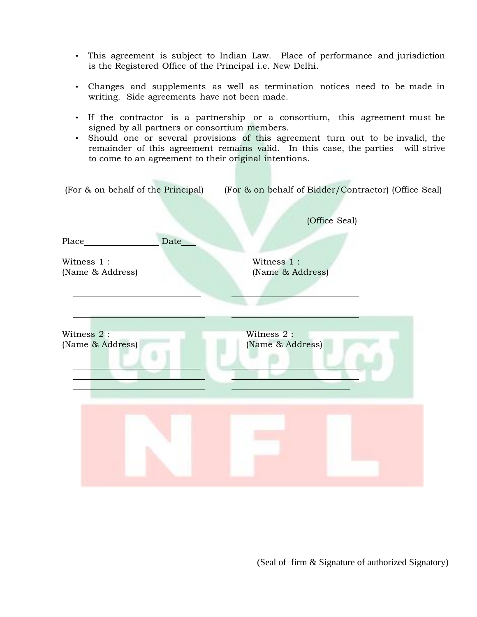- This agreement is subject to Indian Law. Place of performance and jurisdiction is the Registered Office of the Principal i.e. New Delhi.
- Changes and supplements as well as termination notices need to be made in writing. Side agreements have not been made.
- If the contractor is a partnership or a consortium, this agreement must be signed by all partners or consortium members.
- Should one or several provisions of this agreement turn out to be invalid, the remainder of this agreement remains valid. In this case, the parties will strive to come to an agreement to their original intentions.

(For & on behalf of the Principal) (For & on behalf of Bidder/Contractor) (Office Seal)

|                                 | (Office Seal)                   |
|---------------------------------|---------------------------------|
| Date____                        |                                 |
| Witness 1 :<br>(Name & Address) | Witness 1 :<br>(Name & Address) |
| Witness 2 :<br>(Name & Address) | Witness 2:<br>(Name & Address)  |
|                                 |                                 |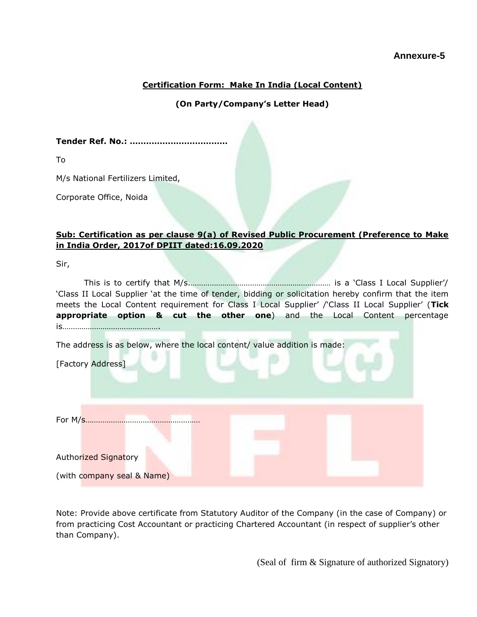# **Annexure-5**

### **Certification Form: Make In India (Local Content)**

#### **(On Party/Company's Letter Head)**

#### **Tender Ref. No.: ………………………………**

To

M/s National Fertilizers Limited,

Corporate Office, Noida

#### **Sub: Certification as per clause 9(a) of Revised Public Procurement (Preference to Make in India Order, 2017of DPIIT dated:16.09.2020**

Sir,

This is to certify that M/s.………………………………………………………… is a 'Class I Local Supplier'/ 'Class II Local Supplier 'at the time of tender, bidding or solicitation hereby confirm that the item meets the Local Content requirement for Class I Local Supplier' /'Class II Local Supplier' (**Tick appropriate option & cut the other one**) and the Local Content percentage is……………………………………….

The address is as below, where the local content/ value addition is made:

| [Factory Address]                   |  |
|-------------------------------------|--|
| For M/ <mark>s</mark>               |  |
| Author <mark>ized Signat</mark> ory |  |
| (with company seal & Name)          |  |

Note: Provide above certificate from Statutory Auditor of the Company (in the case of Company) or from practicing Cost Accountant or practicing Chartered Accountant (in respect of supplier's other than Company).